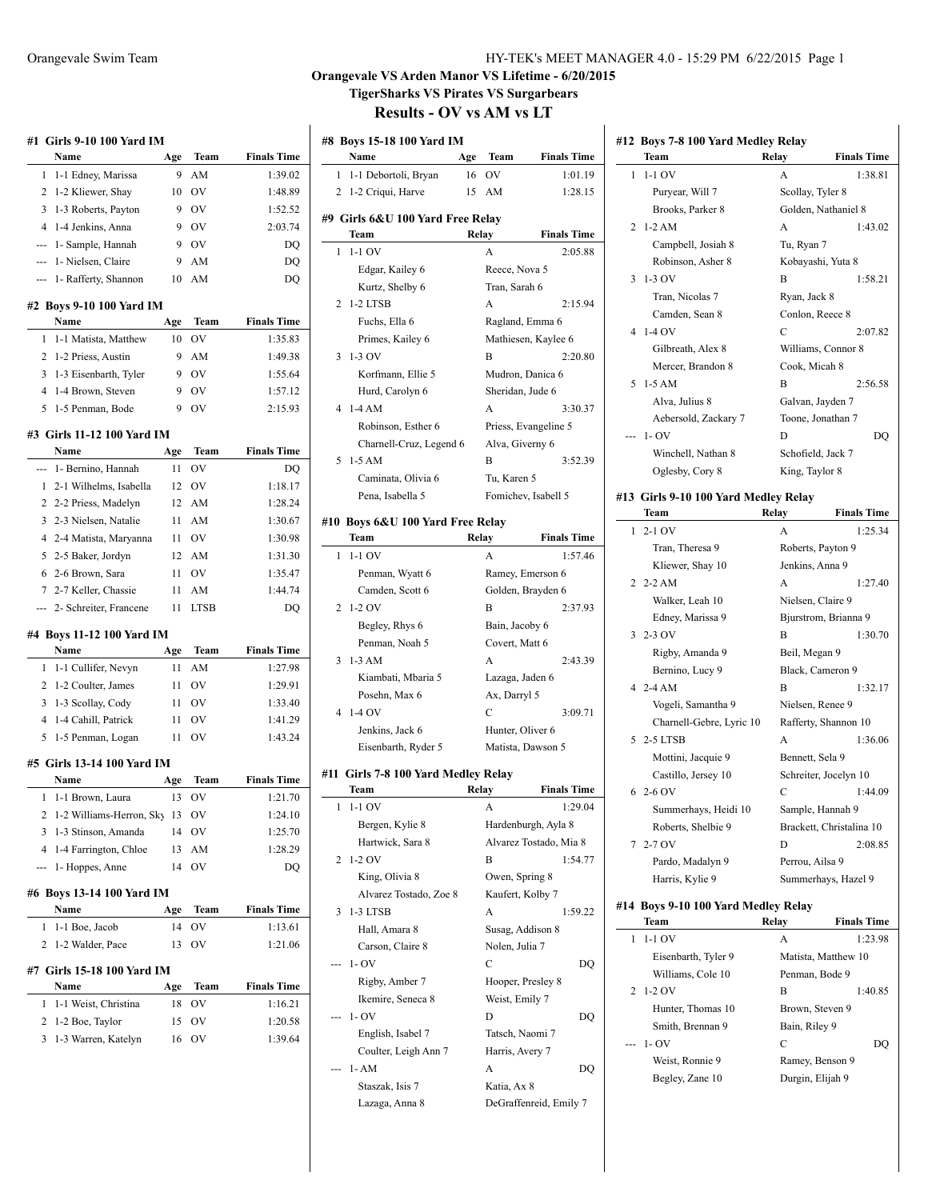|              |                                        |          |             |                    | <b>Orangevale \</b><br><b>TigerS</b><br>R |
|--------------|----------------------------------------|----------|-------------|--------------------|-------------------------------------------|
|              | #1   Girls 9-10 100 Yard IM            |          |             |                    | #8 Boys 15-                               |
|              | Name                                   | Age      | Team        | <b>Finals Time</b> | Name                                      |
| 1            | 1-1 Edney, Marissa                     | 9        | AM          | 1:39.02            | 1<br>$1-1$ Deb                            |
| 2            | 1-2 Kliewer, Shay                      | 10       | OV          | 1:48.89            | 2<br>$1-2$ Criq                           |
| 3            | 1-3 Roberts, Payton                    | 9        | <b>OV</b>   | 1:52.52            |                                           |
| 4            | 1-4 Jenkins, Anna                      | 9        | OV          | 2:03.74            | #9 Girls 6&                               |
| aaa          | 1- Sample, Hannah                      | 9        | OV          | DQ                 | Team<br>$1-1$ OV<br>1                     |
| ---          | 1- Nielsen, Claire                     | 9        | AM          | DQ                 |                                           |
| ---          | 1- Rafferty, Shannon                   | 10       | AM          | DQ                 | Edgar,<br>Kurtz,                          |
|              |                                        |          |             |                    | $1-2$ LTS<br>2                            |
|              | #2 Boys 9-10 100 Yard IM<br>Name       | Age      | Team        | <b>Finals Time</b> | Fuchs,                                    |
| 1            | 1-1 Matista, Matthew                   | 10       | OV          | 1:35.83            | <b>Primes</b>                             |
| 2            | 1-2 Priess, Austin                     | 9        | AM          | 1:49.38            | $1-3$ OV<br>3                             |
| 3            | 1-3 Eisenbarth, Tyler                  | 9        | OV          | 1:55.64            | Korfm                                     |
| 4            | 1-4 Brown, Steven                      | 9        | OV          | 1:57.12            | Hurd,                                     |
| 5            | 1-5 Penman, Bode                       | 9        | OV          | 2:15.93            | $1-4AM$<br>4                              |
|              |                                        |          |             |                    | Robin:                                    |
|              | #3  Girls 11-12 100 Yard IM            |          |             |                    | Charn                                     |
|              | Name                                   | Age      | Team        | <b>Finals Time</b> | 5<br>$1-5$ AM                             |
| --- 1        | 1- Bernino, Hannah                     | 11       | OV          | DO                 | Camin                                     |
| $\mathbf{1}$ | 2-1 Wilhelms, Isabella                 | 12       | OV          | 1:18.17            | Pena,                                     |
|              | 2 2-2 Priess, Madelyn                  | 12       | AM          | 1:28.24            |                                           |
|              | 3 2-3 Nielsen, Natalie                 | 11       | AM          | 1:30.67            | #10 Boys 68<br>Team                       |
| 5.           | 4 2-4 Matista, Maryanna                | 11       | OV          | 1:30.98            | $1-1$ OV<br>1                             |
|              | 2-5 Baker, Jordyn<br>6 2-6 Brown, Sara | 12<br>11 | AM<br>OV    | 1:31.30<br>1:35.47 | Penma                                     |
| 7            | 2-7 Keller, Chassie                    | 11       | AM          | 1:44.74            | Camd                                      |
|              | 2- Schreiter, Francene                 | 11       | <b>LTSB</b> | DO                 | $1-2$ OV<br>2                             |
|              |                                        |          |             |                    | Begley                                    |
|              | #4 Boys 11-12 100 Yard IM              |          |             |                    | Penma                                     |
|              | Name                                   | Age      | Team        | <b>Finals Time</b> | $1-3$ AM<br>3                             |
| 1            | 1-1 Cullifer, Nevyn                    | 11       | AM          | 1:27.98            | Kiamb                                     |
| 2            | 1-2 Coulter, James                     | 11       | OV          | 1:29.91            | Posehi                                    |
| 3            | 1-3 Scollay, Cody                      | 11       | OV          | 1:33.40            |                                           |

### **#5 Girls 13-14 100 Yard IM**

|  | Name                             | Age | Team | <b>Finals Time</b> |
|--|----------------------------------|-----|------|--------------------|
|  | 1 1-1 Brown, Laura               | 13  | OV   | 1:21.70            |
|  | 2 1-2 Williams-Herron, Sky 13 OV |     |      | 1:24.10            |
|  | 3 1-3 Stinson, Amanda            | 14  | OV   | 1:25.70            |
|  | 4 1-4 Farrington, Chloe          | 13  | - AM | 1:28.29            |
|  | --- 1- Hoppes, Anne              |     | ΩV   | DO.                |

4 1-4 Cahill, Patrick 11 OV 1:41.29 5 1-5 Penman, Logan 11 OV 1:43.24

### **#6 Boys 13-14 100 Yard IM**

| Name                       | Age | Team           | <b>Finals Time</b> |  |  |
|----------------------------|-----|----------------|--------------------|--|--|
| 1 1-1 Boe, Jacob           | 14  | OV             | 1:13.61            |  |  |
| 2 1-2 Walder, Pace         | 13  | O <sub>V</sub> | 1:21.06            |  |  |
| #7 Girls 15-18 100 Yard IM |     |                |                    |  |  |
| Name                       | Age | Team           | <b>Finals Time</b> |  |  |
| 1 1-1 Weist, Christina     | 18  | OV             | 1:16.21            |  |  |
| 2 1-2 Boe, Taylor          |     |                |                    |  |  |

3 1-3 Warren, Katelyn 16 OV 1:39.64

| Orangevale Swim Team |                                                                                                                                                                                                                                                                                                                                    |                                                                                  | HY-TEK's MEET MANAGER 4.0 - 15:29 PM 6/22/2015 Page 1 |  |
|----------------------|------------------------------------------------------------------------------------------------------------------------------------------------------------------------------------------------------------------------------------------------------------------------------------------------------------------------------------|----------------------------------------------------------------------------------|-------------------------------------------------------|--|
|                      | $\mathbf{r}$ $\mathbf{r}$ $\mathbf{r}$ $\mathbf{r}$ $\mathbf{r}$ $\mathbf{r}$ $\mathbf{r}$ $\mathbf{r}$ $\mathbf{r}$ $\mathbf{r}$ $\mathbf{r}$ $\mathbf{r}$ $\mathbf{r}$ $\mathbf{r}$ $\mathbf{r}$ $\mathbf{r}$ $\mathbf{r}$ $\mathbf{r}$ $\mathbf{r}$ $\mathbf{r}$ $\mathbf{r}$ $\mathbf{r}$ $\mathbf{r}$ $\mathbf{r}$ $\mathbf{$ | $\mathbf{X}^T \mathbf{C} \mathbf{X} \mathbf{A} \mathbf{C} \mathbf{A} \mathbf{A}$ | $\epsilon$ is a language                              |  |

### VS Arden Manor VS Lifetime - 6/20/2015 **TigerSharks VS Pirates VS Surgarbears Results - OV vs AM vs LT**

|   | Name                                         | Age   | Team                | <b>Finals Time</b>     |
|---|----------------------------------------------|-------|---------------------|------------------------|
| 1 | 1-1 Debortoli, Bryan                         | 16    | OV                  | 1:01.19                |
| 2 | 1-2 Criqui, Harve                            | 15    | AM                  | 1:28.15                |
|   | #9 Girls 6&U 100 Yard Free Relay             |       |                     |                        |
|   | Team                                         |       | Relay               | <b>Finals Time</b>     |
| 1 | $1-1$ OV                                     |       | A                   | 2:05.88                |
|   | Edgar, Kailey 6                              |       | Reece, Nova 5       |                        |
|   | Kurtz, Shelby 6                              |       | Tran, Sarah 6       |                        |
| 2 | <b>1-2 LTSB</b>                              |       | А                   | 2:15.94                |
|   | Fuchs, Ella 6                                |       | Ragland, Emma 6     |                        |
|   | Primes, Kailey 6                             |       |                     | Mathiesen, Kaylee 6    |
| 3 | 1-3 OV                                       |       | В                   | 2:20.80                |
|   | Korfmann, Ellie 5                            |       | Mudron, Danica 6    |                        |
|   | Hurd, Carolyn 6                              |       | Sheridan, Jude 6    |                        |
| 4 | $1-4AM$                                      |       | A                   | 3:30.37                |
|   | Robinson, Esther 6                           |       |                     | Priess, Evangeline 5   |
|   | Charnell-Cruz, Legend 6                      |       | Alva, Giverny 6     |                        |
| 5 | $1-5$ AM                                     |       | B                   | 3:52.39                |
|   | Caminata, Olivia 6                           |       | Tu, Karen 5         |                        |
|   | Pena, Isabella 5                             |       |                     | Fomichev, Isabell 5    |
|   |                                              |       |                     |                        |
|   | #10  Boys 6&U 100 Yard Free Relay<br>Team    | Relay |                     | <b>Finals Time</b>     |
| 1 | $1-1$ OV                                     |       | A                   | 1:57.46                |
|   | Penman, Wyatt 6                              |       |                     | Ramey, Emerson 6       |
|   | Camden, Scott 6                              |       |                     | Golden, Brayden 6      |
| 2 | $1-2$ OV                                     |       | В                   | 2:37.93                |
|   | Begley, Rhys 6                               |       | Bain, Jacoby 6      |                        |
|   | Penman, Noah 5                               |       | Covert, Matt 6      |                        |
| 3 | $1-3$ AM                                     |       | A                   | 2:43.39                |
|   | Kiambati, Mbaria 5                           |       | Lazaga, Jaden 6     |                        |
|   | Posehn, Max 6                                |       | Ax, Darryl 5        |                        |
| 4 | $1-4$ OV                                     |       | С                   | 3:09.71                |
|   | Jenkins, Jack 6                              |       | Hunter, Oliver 6    |                        |
|   | Eisenbarth, Ryder 5                          |       |                     | Matista, Dawson 5      |
|   |                                              |       |                     |                        |
|   | #11  Girls 7-8 100 Yard Medley Relay<br>Team | Relay |                     | <b>Finals Time</b>     |
| 1 | 1-1 OV                                       |       | A                   | 1:29.04                |
|   | Bergen, Kylie 8                              |       |                     | Hardenburgh, Ayla 8    |
|   | Hartwick, Sara 8                             |       |                     | Alvarez Tostado, Mia 8 |
| 2 | 1-2 OV                                       |       | B                   | 1:54.77                |
|   | King, Olivia 8                               |       | Owen, Spring 8      |                        |
|   | Alvarez Tostado, Zoe 8                       |       | Kaufert, Kolby 7    |                        |
|   |                                              |       | А                   | 1:59.22                |
| 3 | 1-3 LTSB                                     |       | Susag, Addison 8    |                        |
|   |                                              |       |                     |                        |
|   | Hall, Amara 8                                |       |                     |                        |
|   | Carson, Claire 8<br>1- OV                    |       | Nolen, Julia 7<br>С | DO                     |
|   |                                              |       |                     |                        |
|   | Rigby, Amber 7                               |       | Hooper, Presley 8   |                        |
|   | Ikemire, Seneca 8                            |       | Weist, Emily 7      |                        |
|   | $1 - OV$                                     |       | D                   | DQ                     |
|   | English, Isabel 7                            |       | Tatsch, Naomi 7     |                        |
|   | Coulter, Leigh Ann 7                         |       | Harris, Avery 7     |                        |
|   | 1- AM                                        |       | A                   | DQ                     |
|   | Staszak, Isis 7<br>Lazaga, Anna 8            |       | Katia, Ax 8         | DeGraffenreid, Emily 7 |

| #12 Boys 7-8 100 Yard Medley Relay |  |  |  |  |  |  |  |  |  |
|------------------------------------|--|--|--|--|--|--|--|--|--|
|------------------------------------|--|--|--|--|--|--|--|--|--|

|   | Team                                 | Relay           | <b>Finals Time</b>       |
|---|--------------------------------------|-----------------|--------------------------|
| 1 | $1-1$ OV                             | А               | 1:38.81                  |
|   | Puryear, Will 7                      |                 | Scollay, Tyler 8         |
|   | Brooks, Parker 8                     |                 | Golden, Nathaniel 8      |
| 2 | $1-2$ AM                             | A               | 1:43.02                  |
|   | Campbell, Josiah 8                   | Tu, Ryan 7      |                          |
|   | Robinson, Asher 8                    |                 | Kobayashi, Yuta 8        |
| 3 | $1-3$ OV                             | B               | 1:58.21                  |
|   | Tran, Nicolas 7                      | Ryan, Jack 8    |                          |
|   | Camden, Sean 8                       |                 | Conlon, Reece 8          |
| 4 | $1-4$ OV                             | С               | 2:07.82                  |
|   | Gilbreath, Alex 8                    |                 | Williams, Connor 8       |
|   | Mercer, Brandon 8                    | Cook, Micah 8   |                          |
| 5 | $1-5 AM$                             | B               | 2:56.58                  |
|   | Alva, Julius 8                       |                 | Galvan, Jayden 7         |
|   | Aebersold, Zackary 7                 |                 | Toone, Jonathan 7        |
|   | $1 - OV$                             | D               | DQ                       |
|   | Winchell, Nathan 8                   |                 | Schofield, Jack 7        |
|   | Oglesby, Cory 8                      | King, Taylor 8  |                          |
|   |                                      |                 |                          |
|   | #13 Girls 9-10 100 Yard Medley Relay |                 |                          |
|   | Team                                 | Relay           | <b>Finals Time</b>       |
| 1 | $2-1$ OV                             | A               | 1:25.34                  |
|   | Tran, Theresa 9                      |                 | Roberts, Payton 9        |
|   | Kliewer, Shay 10                     |                 | Jenkins, Anna 9          |
| 2 | $2-2$ AM                             | A               | 1:27.40                  |
|   | Walker, Leah 10                      |                 | Nielsen, Claire 9        |
|   | Edney, Marissa 9                     |                 | Bjurstrom, Brianna 9     |
|   | $3 - 2 - 3$ OV                       | B               | 1:30.70                  |
|   | Rigby, Amanda 9                      | Beil, Megan 9   |                          |
|   | Bernino, Lucy 9                      |                 | Black, Cameron 9         |
|   | $42 - 4AM$                           | B               | 1:32.17                  |
|   | Vogeli, Samantha 9                   |                 | Nielsen, Renee 9         |
|   | Charnell-Gebre, Lyric 10             |                 | Rafferty, Shannon 10     |
| 5 | 2-5 LTSB                             | A               | 1:36.06                  |
|   | Mottini, Jacquie 9                   |                 | Bennett, Sela 9          |
|   | Castillo, Jersey 10                  |                 | Schreiter, Jocelyn 10    |
| 6 | $2-6$ OV                             | C               | 1:44.09                  |
|   | Summerhays, Heidi 10                 |                 | Sample, Hannah 9         |
|   | Roberts, Shelbie 9                   |                 | Brackett, Christalina 10 |
| 7 | $2-7$ OV                             | D               | 2:08.85                  |
|   | Pardo, Madalyn 9                     | Perrou, Ailsa 9 |                          |
|   | Harris, Kylie 9                      |                 | Summerhays, Hazel 9      |
|   |                                      |                 |                          |
|   | #14 Boys 9-10 100 Yard Medley Relay  |                 | <b>Finals Time</b>       |
|   | Team                                 | Relay           |                          |
| 1 | $1-1$ OV                             | A               | 1:23.98                  |
|   | Eisenbarth, Tyler 9                  |                 | Matista, Matthew 10      |
|   | Williams, Cole 10                    |                 | Penman, Bode 9           |
| 2 | 1-2 OV                               | B               | 1:40.85                  |
|   | Hunter, Thomas 10                    |                 | Brown, Steven 9          |
|   | Smith, Brennan 9                     | Bain, Riley 9   |                          |
|   | 1- OV                                | C               | DQ                       |

Weist, Ronnie 9 Ramey, Benson 9 Begley, Zane 10 Durgin, Elijah 9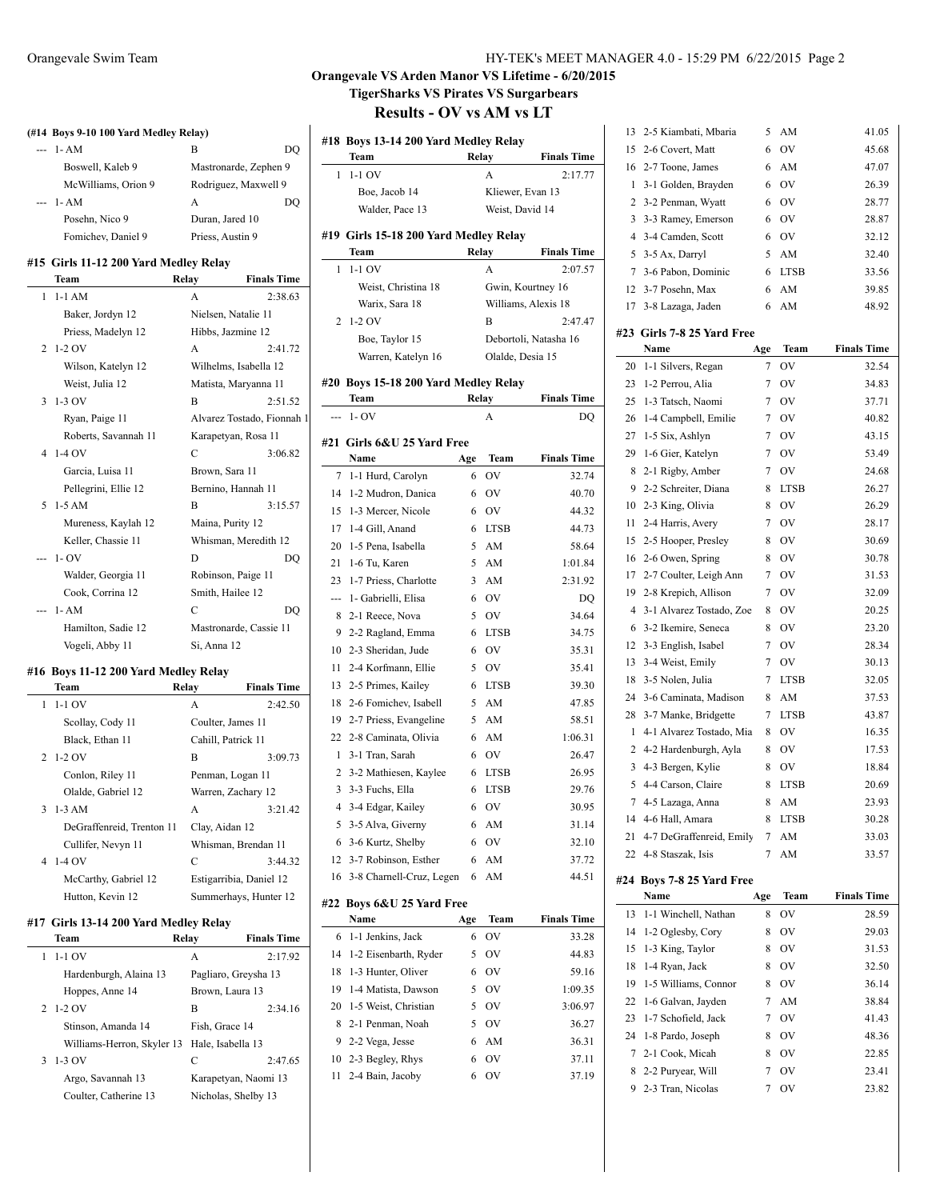| (#14 Boys 9-10 100 Yard Medley Relay) |                      |                       |  |
|---------------------------------------|----------------------|-----------------------|--|
| $- - 1 - AM$                          | В                    | DO                    |  |
| Boswell, Kaleb 9                      |                      | Mastronarde, Zephen 9 |  |
| McWilliams, Orion 9                   | Rodriguez, Maxwell 9 |                       |  |
| $- - 1 - AM$                          | A                    |                       |  |
| Posehn, Nico 9                        | Duran, Jared 10      |                       |  |
| Fomichev, Daniel 9                    | Priess, Austin 9     |                       |  |
| #15 Girls 11-12 200 Yard Medley Relay |                      |                       |  |
| Team                                  | Relay                | <b>Finals Time</b>    |  |
| 1-1 AM                                | А                    | 2.38.63               |  |

| 1 | $1-1$ AM             | A                          | 2:38.63 |
|---|----------------------|----------------------------|---------|
|   | Baker, Jordyn 12     | Nielsen, Natalie 11        |         |
|   | Priess, Madelyn 12   | Hibbs, Jazmine 12          |         |
|   | $2\;1-2\;0V$         | A                          | 2:41.72 |
|   | Wilson, Katelyn 12   | Wilhelms, Isabella 12      |         |
|   | Weist, Julia 12      | Matista, Maryanna 11       |         |
|   | $3 - 1 - 3$ OV       | B                          | 2:51.52 |
|   | Ryan, Paige 11       | Alvarez Tostado, Fionnah 1 |         |
|   | Roberts, Savannah 11 | Karapetyan, Rosa 11        |         |
|   | 4 1-4 OV             | C                          | 3:06.82 |
|   | Garcia, Luisa 11     | Brown, Sara 11             |         |
|   | Pellegrini, Ellie 12 | Bernino, Hannah 11         |         |
|   | $5.1 - 5$ AM         | $\overline{B}$             | 3:15.57 |
|   | Mureness, Kaylah 12  | Maina, Purity 12           |         |
|   | Keller, Chassie 11   | Whisman, Meredith 12       |         |
|   | $-1 - OV$            | D                          | DO      |
|   | Walder, Georgia 11   | Robinson, Paige 11         |         |
|   | Cook, Corrina 12     | Smith, Hailee 12           |         |
|   | $1 - AM$             | C                          | DO      |
|   | Hamilton, Sadie 12   | Mastronarde, Cassie 11     |         |
|   | Vogeli, Abby 11      | Si, Anna 12                |         |

## **#16 Boys 11-12 200 Yard Medley Relay**

l.

 $\overline{a}$ 

| <b>Team</b>               | Relay          | <b>Finals Time</b>      |
|---------------------------|----------------|-------------------------|
| $1 - 1 - 1$ OV            | A              | 2:42.50                 |
| Scollay, Cody 11          |                | Coulter, James 11       |
| Black, Ethan 11           |                | Cahill, Patrick 11      |
| $2\;1\;2\;0$ V            | B              | 3:09.73                 |
| Conlon, Riley 11          |                | Penman, Logan 11        |
| Olalde, Gabriel 12        |                | Warren, Zachary 12      |
| $3 \t1-3$ AM              | A              | 3:21.42                 |
| DeGraffenreid, Trenton 11 | Clay, Aidan 12 |                         |
| Cullifer, Nevyn 11        |                | Whisman, Brendan 11     |
| 4 1-4 OV                  | C              | 3:44.32                 |
| McCarthy, Gabriel 12      |                | Estigarribia, Daniel 12 |
| Hutton, Kevin 12          |                | Summerhays, Hunter 12   |

### **#17 Girls 13-14 200 Yard Medley Relay**

|   | <b>Team</b>                                  | Relay                | <b>Finals Time</b>   |
|---|----------------------------------------------|----------------------|----------------------|
|   | $1-1$ OV                                     | A                    | 2:17.92              |
|   | Hardenburgh, Alaina 13                       | Pagliaro, Greysha 13 |                      |
|   | Hoppes, Anne 14                              | Brown, Laura 13      |                      |
|   | 2 1-2 OV                                     | В                    | 2:34.16              |
|   | Stinson, Amanda 14                           | Fish, Grace 14       |                      |
|   | Williams-Herron, Skyler 13 Hale, Isabella 13 |                      |                      |
| 3 | 1-3 OV                                       | C                    | 2:47.65              |
|   | Argo, Savannah 13                            |                      | Karapetyan, Naomi 13 |
|   | Coulter, Catherine 13                        | Nicholas, Shelby 13  |                      |

## **Orangevale VS Arden Manor VS Lifetime - 6/20/2015 TigerSharks VS Pirates VS Surgarbears**

| #18            | <b>Boys 13-14 200 Yard Medley Relay</b><br>Team<br>Relay<br><b>Finals Time</b> |       |                  |                       |  |
|----------------|--------------------------------------------------------------------------------|-------|------------------|-----------------------|--|
| 1              | $1-1$ OV                                                                       |       | A                | 2:17.77               |  |
|                | Boe, Jacob 14                                                                  |       | Kliewer, Evan 13 |                       |  |
|                | Walder, Pace 13                                                                |       | Weist, David 14  |                       |  |
|                |                                                                                |       |                  |                       |  |
|                | #19 Girls 15-18 200 Yard Medley Relay                                          |       |                  |                       |  |
|                | Team                                                                           | Relay |                  | <b>Finals Time</b>    |  |
| 1              | $1-1$ OV                                                                       |       | A                | 2:07.57               |  |
|                | Weist, Christina 18                                                            |       |                  | Gwin, Kourtney 16     |  |
|                | Warix, Sara 18                                                                 |       |                  | Williams, Alexis 18   |  |
| 2              | $1-2$ OV                                                                       |       | В                | 2:47.47               |  |
|                | Boe, Taylor 15                                                                 |       |                  | Debortoli, Natasha 16 |  |
|                | Warren, Katelyn 16                                                             |       | Olalde, Desia 15 |                       |  |
|                |                                                                                |       |                  |                       |  |
|                | #20 Boys 15-18 200 Yard Medley Relay                                           |       |                  |                       |  |
|                | Team                                                                           | Relay |                  | <b>Finals Time</b>    |  |
| ---            | $1 - OV$                                                                       |       | A                | DO                    |  |
|                | #21 Girls 6&U 25 Yard Free                                                     |       |                  |                       |  |
|                | Name                                                                           | Age   | Team             | <b>Finals Time</b>    |  |
| 7              | 1-1 Hurd, Carolyn                                                              | 6     | <b>OV</b>        | 32.74                 |  |
| 14             | 1-2 Mudron, Danica                                                             | 6     | OV               | 40.70                 |  |
| 15             | 1-3 Mercer, Nicole                                                             | 6     | OV               | 44.32                 |  |
| 17             | 1-4 Gill, Anand                                                                | 6     | <b>LTSB</b>      | 44.73                 |  |
| 20             | 1-5 Pena, Isabella                                                             | 5     | AM               | 58.64                 |  |
| 21             | 1-6 Tu, Karen                                                                  | 5     | AM               | 1:01.84               |  |
| 23             | 1-7 Priess, Charlotte                                                          | 3     | AM               | 2:31.92               |  |
| ---            | 1- Gabrielli, Elisa                                                            | 6     | <b>OV</b>        | DQ                    |  |
| 8              | 2-1 Reece, Nova                                                                | 5     | <b>OV</b>        | 34.64                 |  |
| 9              |                                                                                |       |                  | 34.75                 |  |
|                | 2-2 Ragland, Emma                                                              | 6     | <b>LTSB</b>      |                       |  |
| 10             | 2-3 Sheridan, Jude                                                             | 6     | OV               | 35.31                 |  |
| 11             | 2-4 Korfmann, Ellie                                                            | 5     | <b>OV</b>        | 35.41                 |  |
| 13             | 2-5 Primes, Kailey                                                             | 6     | <b>LTSB</b>      | 39.30                 |  |
| 18             | 2-6 Fomichev, Isabell                                                          | 5     | AM               | 47.85                 |  |
| 19             | 2-7 Priess, Evangeline                                                         | 5     | AM               | 58.51                 |  |
| 22             | 2-8 Caminata, Olivia                                                           | 6     | AM               | 1:06.31               |  |
| 1              | 3-1 Tran, Sarah                                                                | 6     | <b>OV</b>        | 26.47                 |  |
| 2              | 3-2 Mathiesen, Kaylee                                                          | 6     | <b>LTSB</b>      | 26.95                 |  |
| 3              | 3-3 Fuchs, Ella                                                                | 6     | <b>LTSB</b>      | 29.76                 |  |
| $\overline{4}$ | 3-4 Edgar, Kailey                                                              |       | 6 OV             | 30.95                 |  |
| 5              | 3-5 Alva, Giverny                                                              | 6     | AM               | 31.14                 |  |
| 6              | 3-6 Kurtz, Shelby                                                              | 6     | OV               | 32.10                 |  |
| 12             | 3-7 Robinson, Esther                                                           | 6     | AM               | 37.72                 |  |
| 16             | 3-8 Charnell-Cruz, Legen                                                       | 6     | AM               | 44.51                 |  |
|                | #22 Boys 6&U 25 Yard Free                                                      |       |                  |                       |  |
|                | Name                                                                           | Age   | Team             | <b>Finals Time</b>    |  |
| 6              | 1-1 Jenkins, Jack                                                              | 6     | OV               | 33.28                 |  |
| 14             | 1-2 Eisenbarth, Ryder                                                          | 5     | OV               | 44.83                 |  |
| 18             | 1-3 Hunter, Oliver                                                             | 6     | OV               | 59.16                 |  |
| 19             | 1-4 Matista, Dawson                                                            | 5     | OV               | 1:09.35               |  |
| 20             | 1-5 Weist, Christian                                                           | 5     | OV               | 3:06.97               |  |
| 8              | 2-1 Penman, Noah                                                               | 5     | OV               | 36.27                 |  |
| 9              | 2-2 Vega, Jesse                                                                | 6     | AM               | 36.31                 |  |
| 10             | 2-3 Begley, Rhys                                                               | 6     | OV               | 37.11                 |  |
| 11             | 2-4 Bain, Jacoby                                                               | 6     | OV               |                       |  |
|                |                                                                                |       |                  | 37.19                 |  |
|                |                                                                                |       |                  |                       |  |

| 13             | 2-5 Kiambati, Mbaria       | 5              | AM          | 41.05              |
|----------------|----------------------------|----------------|-------------|--------------------|
| 15             | 2-6 Covert, Matt           | 6              | OV          | 45.68              |
| 16             | 2-7 Toone, James           | 6              | AM          | 47.07              |
| 1              | 3-1 Golden, Brayden        | 6              | OV          | 26.39              |
| 2              | 3-2 Penman, Wyatt          | 6              | OV          | 28.77              |
| 3              | 3-3 Ramey, Emerson         | 6              | <b>OV</b>   | 28.87              |
| 4              | 3-4 Camden, Scott          | 6              | OV          | 32.12              |
| 5              | 3-5 Ax, Darryl             | 5              | AM          | 32.40              |
| 7              | 3-6 Pabon. Dominic         | 6              | <b>LTSB</b> | 33.56              |
| 12             | 3-7 Posehn, Max            | 6              | AM          | 39.85              |
| 17             | 3-8 Lazaga, Jaden          | 6              | AM          | 48.92              |
|                |                            |                |             |                    |
|                | #23 Girls 7-8 25 Yard Free |                |             |                    |
|                | Name                       | Age            | Team        | <b>Finals Time</b> |
| 20             | 1-1 Silvers, Regan         | 7              | ov          | 32.54              |
| 23             | 1-2 Perrou, Alia           | $\overline{7}$ | OV          | 34.83              |
| 25             | 1-3 Tatsch, Naomi          | 7              | OV          | 37.71              |
| 26             | 1-4 Campbell, Emilie       | 7              | <b>OV</b>   | 40.82              |
| 27             | 1-5 Six, Ashlyn            | 7              | OV          | 43.15              |
| 29             | 1-6 Gier, Katelyn          | 7              | OV          | 53.49              |
| 8              | 2-1 Rigby, Amber           | 7              | OV          | 24.68              |
| 9              | 2-2 Schreiter, Diana       | 8              | <b>LTSB</b> | 26.27              |
| 10             | 2-3 King, Olivia           | 8              | <b>OV</b>   | 26.29              |
| 11             | 2-4 Harris, Avery          | 7              | <b>OV</b>   | 28.17              |
| 15             | 2-5 Hooper, Presley        | 8              | <b>OV</b>   | 30.69              |
| 16             | 2-6 Owen, Spring           | 8              | <b>OV</b>   | 30.78              |
| 17             | 2-7 Coulter, Leigh Ann     | 7              | OV          | 31.53              |
| 19             | 2-8 Krepich, Allison       | 7              | OV          | 32.09              |
| 4              | 3-1 Alvarez Tostado, Zoe   | 8              | <b>OV</b>   | 20.25              |
| 6              | 3-2 Ikemire, Seneca        | 8              | OV          | 23.20              |
| 12             | 3-3 English, Isabel        | 7              | OV          | 28.34              |
| 13             | 3-4 Weist, Emily           | 7              | <b>OV</b>   | 30.13              |
| 18             | 3-5 Nolen, Julia           | 7              | <b>LTSB</b> | 32.05              |
| 24             | 3-6 Caminata, Madison      | 8              | AM          | 37.53              |
| 28             | 3-7 Manke, Bridgette       | 7              | <b>LTSB</b> | 43.87              |
| 1              | 4-1 Alvarez Tostado, Mia   | 8              | OV          | 16.35              |
| 2              | 4-2 Hardenburgh, Ayla      | 8              | OV          | 17.53              |
| 3              | 4-3 Bergen, Kylie          | 8              | OV          | 18.84              |
| 5              | 4-4 Carson, Claire         | 8              | LTSB        | 20.69              |
| $\overline{7}$ | 4-5 Lazaga, Anna           | 8              | AM          | 23.93              |
| 14             | 4-6 Hall, Amara            | 8              | LTSB        | 30.28              |
| 21             | 4-7 DeGraffenreid, Emily   | 7              | AM          | 33.03              |
| 22             | 4-8 Staszak, Isis          | 7              | AM          | 33.57              |
|                | #24 Boys 7-8 25 Yard Free  |                |             |                    |
|                | Name                       | Age            | Team        | <b>Finals Time</b> |
| 13             | 1-1 Winchell, Nathan       | 8              | OV          | 28.59              |
| 14             | 1-2 Oglesby, Cory          | 8              | OV          | 29.03              |
| 15             | 1-3 King, Taylor           | 8              | OV          | 31.53              |
| 18             | 1-4 Ryan, Jack             | 8              | OV          | 32.50              |
| 19             | 1-5 Williams, Connor       | 8              | OV          | 36.14              |
| 22             | 1-6 Galvan, Jayden         | 7              | AM          | 38.84              |
| 23             | 1-7 Schofield, Jack        | 7              | OV          | 41.43              |
| 24             | 1-8 Pardo, Joseph          | 8              | OV          | 48.36              |
| 7              | 2-1 Cook, Micah            | 8              | OV          | 22.85              |
| 8              | 2-2 Puryear, Will          | 7              | OV          | 23.41              |
| 9              | 2-3 Tran, Nicolas          | 7              | OV          | 23.82              |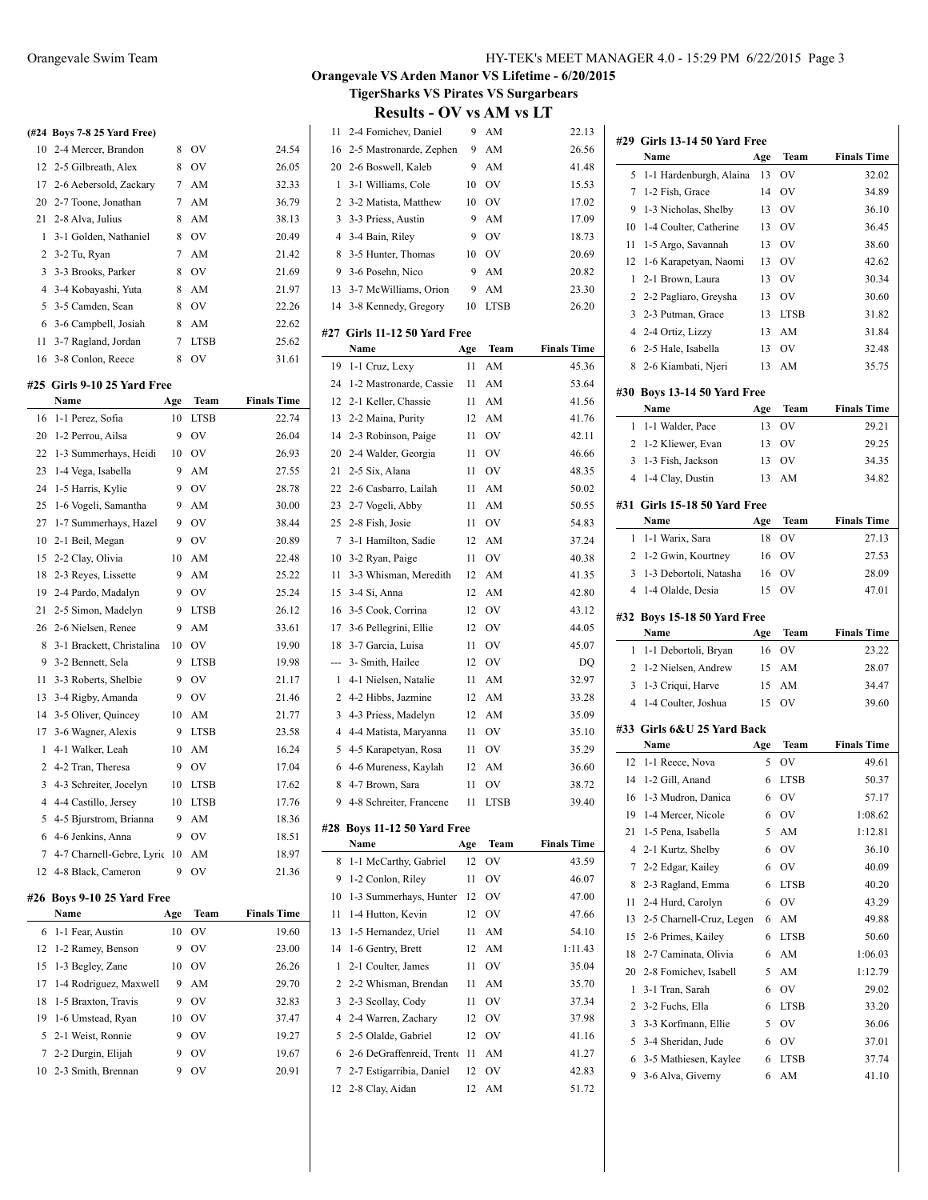| 10 2-4 Mercer, Brandon    | 8 | OV             | 24.54 |
|---------------------------|---|----------------|-------|
| 12 2-5 Gilbreath, Alex    | 8 | O <sub>V</sub> | 26.05 |
| 17 2-6 Aebersold, Zackary |   | 7 AM           | 32.33 |
| 20 2-7 Toone, Jonathan    | 7 | AM             | 36.79 |
| 21 2-8 Alva, Julius       | 8 | AM             | 38.13 |
| 1 3-1 Golden, Nathaniel   | 8 | OV             | 20.49 |
| 2 3-2 Tu, Ryan            | 7 | AM             | 21.42 |
| 3 3-3 Brooks, Parker      | 8 | OV             | 21.69 |
| 4 3-4 Kobayashi, Yuta     | 8 | AM             | 21.97 |
| 5 3-5 Camden, Sean        | 8 | OV             | 22.26 |
| 6 3-6 Campbell, Josiah    | 8 | AM             | 22.62 |
| 11 3-7 Ragland, Jordan    | 7 | <b>LTSB</b>    | 25.62 |
| 16 3-8 Conlon, Reece      | 8 | OV             | 31.61 |

 $\overline{a}$ 

 $\overline{a}$ 

### **#25 Girls 9-10 25 Yard Free**

|                | Name                      | Age | Team        | <b>Finals Time</b> |
|----------------|---------------------------|-----|-------------|--------------------|
| 16             | 1-1 Perez, Sofia          | 10  | <b>LTSB</b> | 22.74              |
| 20             | 1-2 Perrou, Ailsa         | 9   | OV          | 26.04              |
| 22             | 1-3 Summerhays, Heidi     | 10  | OV          | 26.93              |
| 23             | 1-4 Vega, Isabella        | 9   | AM          | 27.55              |
| 24             | 1-5 Harris, Kylie         | 9   | OV          | 28.78              |
| 25             | 1-6 Vogeli, Samantha      | 9   | AM          | 30.00              |
| 27             | 1-7 Summerhays, Hazel     | 9   | OV          | 38.44              |
| 10             | 2-1 Beil, Megan           | 9   | OV          | 20.89              |
| 15             | 2-2 Clay, Olivia          | 10  | AM          | 22.48              |
| 18             | 2-3 Reyes, Lissette       | 9   | AM          | 25.22              |
| 19             | 2-4 Pardo, Madalyn        | 9   | OV          | 25.24              |
| 21             | 2-5 Simon, Madelyn        | 9   | <b>LTSB</b> | 26.12              |
| 26             | 2-6 Nielsen, Renee        | 9   | AM          | 33.61              |
| 8              | 3-1 Brackett, Christalina | 10  | OV          | 19.90              |
| 9              | 3-2 Bennett, Sela         | 9   | <b>LTSB</b> | 19.98              |
| 11             | 3-3 Roberts, Shelbie      | 9   | OV          | 21.17              |
| 13             | 3-4 Rigby, Amanda         | 9   | OV          | 21.46              |
| 14             | 3-5 Oliver, Quincey       | 10  | AM          | 21.77              |
| 17             | 3-6 Wagner, Alexis        | 9   | <b>LTSB</b> | 23.58              |
| $\mathbf{1}$   | 4-1 Walker, Leah          | 10  | AM          | 16.24              |
| $\overline{2}$ | 4-2 Tran, Theresa         | 9   | OV          | 17.04              |
| 3              | 4-3 Schreiter, Jocelyn    | 10  | <b>LTSB</b> | 17.62              |
| $\overline{4}$ | 4-4 Castillo, Jersey      | 10  | <b>LTSB</b> | 17.76              |
| 5              | 4-5 Bjurstrom, Brianna    | 9   | AM          | 18.36              |
| 6              | 4-6 Jenkins, Anna         | 9   | OV          | 18.51              |
| 7              | 4-7 Charnell-Gebre, Lyric | 10  | AM          | 18.97              |
| 12             | 4-8 Black, Cameron        | 9   | OV          | 21.36              |
|                |                           |     |             |                    |

### **#26 Boys 9-10 25 Yard Free**

| Name                      | Age | Team           | <b>Finals Time</b> |
|---------------------------|-----|----------------|--------------------|
| 6 1-1 Fear, Austin        | 10  | OV             | 19.60              |
| 12 1-2 Ramey, Benson      | 9   | O <sub>V</sub> | 23.00              |
| 15 1-3 Begley, Zane       | 10  | OV             | 26.26              |
| 17 1-4 Rodriguez, Maxwell | 9   | AM             | 29.70              |
| 18 1-5 Braxton, Travis    | 9   | O <sub>V</sub> | 32.83              |
| 19 1-6 Umstead, Ryan      | 10. | OV             | 37.47              |
| 5 2-1 Weist, Ronnie       | 9   | O <sub>V</sub> | 19.27              |
| 7 2-2 Durgin, Elijah      |     | O <sub>V</sub> | 19.67              |
| 10 2-3 Smith, Brennan     | 9   | OV             | 20.91              |
|                           |     |                |                    |

## **Orangevale VS Arden Manor VS Lifetime - 6/20/2015 TigerSharks VS Pirates VS Surgarbears**

| 11             | 2-4 Fomichev, Daniel                 | 9        | AM          | 22.13              |
|----------------|--------------------------------------|----------|-------------|--------------------|
| 16             | 2-5 Mastronarde, Zephen              | 9        | AM          | 26.56              |
| 20             | 2-6 Boswell, Kaleb                   | 9        | AM          | 41.48              |
| 1              | 3-1 Williams, Cole                   | 10       | OV          | 15.53              |
| 2              | 3-2 Matista, Matthew                 | 10       | OV          | 17.02              |
| 3              | 3-3 Priess, Austin                   | 9        | AM          | 17.09              |
| 4              | 3-4 Bain, Riley                      | 9        | OV          | 18.73              |
| 8              | 3-5 Hunter, Thomas                   | 10       | <b>OV</b>   | 20.69              |
| 9              | 3-6 Posehn, Nico                     | 9        | AM          | 20.82              |
| 13             | 3-7 McWilliams, Orion                | 9        | AM          | 23.30              |
| 14             | 3-8 Kennedy, Gregory                 | 10       | <b>LTSB</b> | 26.20              |
|                |                                      |          |             |                    |
|                | #27 Girls 11-12 50 Yard Free<br>Name | Age      | Team        | <b>Finals Time</b> |
| 19             | 1-1 Cruz, Lexy                       | 11       | AM          | 45.36              |
| 24             | 1-2 Mastronarde, Cassie              | 11       | AM          | 53.64              |
| 12             | 2-1 Keller, Chassie                  | 11       | AM          | 41.56              |
| 13             | 2-2 Maina, Purity                    | 12       | AM          | 41.76              |
| 14             | 2-3 Robinson, Paige                  | 11       | OV          | 42.11              |
| 20             | 2-4 Walder, Georgia                  |          |             | 46.66              |
| 21             | 2-5 Six, Alana                       | 11<br>11 | OV          | 48.35              |
| 22             |                                      |          | OV          | 50.02              |
| 23             | 2-6 Casbarro, Lailah                 | 11       | AM          |                    |
| 25             | 2-7 Vogeli, Abby<br>2-8 Fish, Josie  | 11       | AM          | 50.55              |
|                | 3-1 Hamilton, Sadie                  | 11       | OV          | 54.83              |
| 7              |                                      | 12       | AM          | 37.24              |
| 10             | 3-2 Ryan, Paige                      | 11       | OV          | 40.38              |
| 11             | 3-3 Whisman, Meredith                | 12       | AM          | 41.35              |
| 15             | 3-4 Si, Anna                         | 12       | AM          | 42.80              |
| 16             | 3-5 Cook, Corrina                    | 12       | <b>OV</b>   | 43.12              |
| 17             | 3-6 Pellegrini, Ellie                | 12       | OV          | 44.05              |
| 18             | 3-7 Garcia, Luisa                    | 11       | OV          | 45.07              |
| ---            | 3- Smith, Hailee                     | 12       | <b>OV</b>   | DQ                 |
| 1              | 4-1 Nielsen, Natalie                 | 11       | AM          | 32.97              |
|                | 2 4-2 Hibbs, Jazmine                 | 12       | AM          | 33.28              |
|                | 3 4-3 Priess, Madelyn                | 12       | AM          | 35.09              |
| $\overline{4}$ | 4-4 Matista, Maryanna                | 11       | <b>OV</b>   | 35.10              |
| 5              | 4-5 Karapetyan, Rosa                 | 11       | <b>OV</b>   | 35.29              |
| 6              | 4-6 Mureness, Kaylah                 | 12       | AM          | 36.60              |
| 8              | 4-7 Brown, Sara                      | 11       | OV          | 38.72              |
|                | 9 4-8 Schreiter, Francene            | 11       | <b>LTSB</b> | 39.40              |
|                | #28 Boys 11-12 50 Yard Free          |          |             |                    |
|                | <b>Name</b>                          | Age      | Team        | <b>Finals Time</b> |
| 8              | 1-1 McCarthy, Gabriel                | 12       | OV          | 43.59              |
| 9              | 1-2 Conlon, Riley                    | 11       | OV          | 46.07              |
| 10             | 1-3 Summerhays, Hunter               | 12       | <b>OV</b>   | 47.00              |
| 11             | 1-4 Hutton, Kevin                    | 12       | OV          | 47.66              |
| 13             | 1-5 Hernandez, Uriel                 | 11       | AM          | 54.10              |
| 14             | 1-6 Gentry, Brett                    | 12       | AM          | 1:11.43            |
| 1              | 2-1 Coulter, James                   | 11       | OV          | 35.04              |
| 2              | 2-2 Whisman, Brendan                 | 11       | AM          | 35.70              |
| 3              | 2-3 Scollay, Cody                    | 11       | <b>OV</b>   | 37.34              |
| 4              | 2-4 Warren, Zachary                  | 12       | OV          | 37.98              |
| 5              | 2-5 Olalde, Gabriel                  | 12       | OV          | 41.16              |
| 6              | 2-6 DeGraffenreid, Trento            | 11       | AM          | 41.27              |
| 7              | 2-7 Estigarribia, Daniel             | 12       | OV          | 42.83              |
| 12             | 2-8 Clay, Aidan                      | 12       | AM          | 51.72              |
|                |                                      |          |             |                    |

| #29    | Girls 13-14 50 Yard Free                   |        |                |                    |
|--------|--------------------------------------------|--------|----------------|--------------------|
|        | Name                                       | Age    | Team           | <b>Finals Time</b> |
| 5      | 1-1 Hardenburgh, Alaina                    | 13     | OV             | 32.02              |
| 7      | 1-2 Fish, Grace                            | 14     | ov             | 34.89              |
| 9      | 1-3 Nicholas, Shelby                       | 13     | OV             | 36.10              |
| 10     | 1-4 Coulter, Catherine                     | 13     | OV             | 36.45              |
| 11     | 1-5 Argo, Savannah                         | 13     | OV             | 38.60              |
| 12     | 1-6 Karapetyan, Naomi                      | 13     | OV             | 42.62              |
| 1      | 2-1 Brown, Laura                           | 13     | OV             | 30.34              |
| 2      | 2-2 Pagliaro, Greysha                      | 13     | OV             | 30.60              |
| 3      | 2-3 Putman, Grace                          | 13     | LTSB           | 31.82              |
| 4      | 2-4 Ortiz, Lizzy                           | 13     | AM             | 31.84              |
| 6      | 2-5 Hale, Isabella                         | 13     | O <sub>V</sub> | 32.48              |
| 8      | 2-6 Kiambati, Njeri                        | 13     | AM             | 35.75              |
|        | #30 Boys 13-14 50 Yard Free                |        |                |                    |
|        | Name                                       | Age    | Team           | <b>Finals Time</b> |
| 1      | 1-1 Walder, Pace                           | 13     | OV             | 29.21              |
| 2      | 1-2 Kliewer, Evan                          | 13     | OV             | 29.25              |
| 3      | 1-3 Fish, Jackson                          | 13     | OV             | 34.35              |
| 4      | 1-4 Clay, Dustin                           | 13     | AM             | 34.82              |
|        |                                            |        |                |                    |
|        | #31 Girls 15-18 50 Yard Free               |        |                |                    |
|        | Name                                       | Age    | Team           | <b>Finals Time</b> |
| 1      | 1-1 Warix, Sara                            | 18     | OV             | 27.13              |
| 2      | 1-2 Gwin, Kourtney                         | 16     | OV             | 27.53              |
| 3      | 1-3 Debortoli, Natasha                     | 16     | OV             | 28.09              |
| 4      | 1-4 Olalde, Desia                          | 15     | OV             | 47.01              |
|        | #32 Boys 15-18 50 Yard Free                |        |                |                    |
|        |                                            |        |                |                    |
|        | Name                                       | Age    | Team           | <b>Finals Time</b> |
| 1      | 1-1 Debortoli, Bryan                       | 16     | OV             | 23.22              |
| 2      | 1-2 Nielsen, Andrew                        | 15     | AM             | 28.07              |
| 3      | 1-3 Criqui, Harve                          | 15     | AM             | 34.47              |
| 4      | 1-4 Coulter, Joshua                        | 15     | OV             | 39.60              |
|        |                                            |        |                |                    |
|        | #33 Girls 6&U 25 Yard Back                 |        |                |                    |
|        | Name                                       | Age    | Team           | <b>Finals Time</b> |
| 12     | 1-1 Reece, Nova                            | 5      | OV             | 49.61              |
| 14     | 1-2 Gill, Anand                            | 6      | LTSB           | 50.37              |
| 16     | 1-3 Mudron, Danica                         | 6      | OV             | 57.17              |
|        | 19 1-4 Mercer, Nicole                      |        | 6 OV           | 1:08.62            |
| 21     | 1-5 Pena, Isabella                         | 5      | AM             | 1:12.81            |
| 4      | 2-1 Kurtz, Shelby                          | 6      | OV             | 36.10              |
| 7      | 2-2 Edgar, Kailey                          | 6      | OV             | 40.09              |
| 8      | 2-3 Ragland, Emma                          | 6      | LTSB           | 40.20              |
| 11     | 2-4 Hurd, Carolyn                          | 6      | OV             | 43.29              |
| 13     | 2-5 Charnell-Cruz, Legen                   | 6      | AM             | 49.88              |
| 15     | 2-6 Primes, Kailey                         | 6      | <b>LTSB</b>    | 50.60              |
| 18     | 2-7 Caminata, Olivia                       | 6      | AM             | 1:06.03            |
| 20     | 2-8 Fomichev, Isabell                      | 5      | AM             | 1:12.79            |
| 1      | 3-1 Tran, Sarah                            | 6      | OV             | 29.02              |
| 2      | 3-2 Fuchs, Ella                            | 6      | LTSB           | 33.20              |
| 3      | 3-3 Korfmann, Ellie                        | 5      | OV             | 36.06              |
| 5      | 3-4 Sheridan, Jude                         | 6      | OV             | 37.01              |
| 6<br>9 | 3-5 Mathiesen, Kaylee<br>3-6 Alva, Giverny | 6<br>6 | LTSB<br>AM     | 37.74<br>41.10     |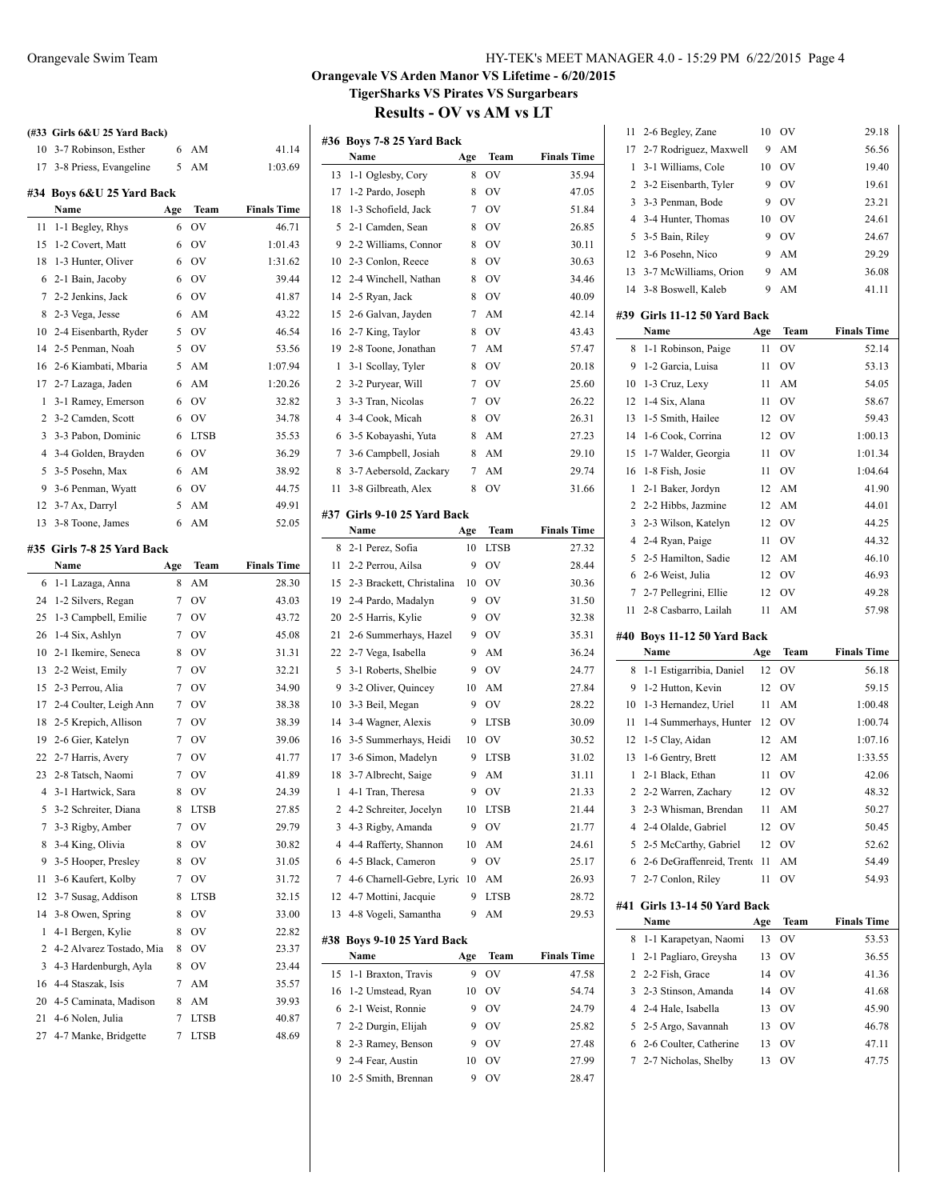| 10 3-7 Robinson, Esther<br>6<br>41.14<br>AM<br>3-8 Priess, Evangeline<br>5<br>AM<br>17<br>1:03.69<br>#34 Boys 6&U 25 Yard Back<br>Name<br>Age<br>Team<br><b>Finals Time</b><br>1-1 Begley, Rhys<br>OV<br>11<br>6<br>46.71<br>15<br>1-2 Covert, Matt<br>OV<br>6<br>1:01.43<br>18<br>1-3 Hunter, Oliver<br>6<br>OV<br>1:31.62<br>2-1 Bain, Jacoby<br><b>OV</b><br>39.44<br>6<br>6<br>2-2 Jenkins, Jack<br><b>OV</b><br>7<br>6<br>41.87<br>8<br>2-3 Vega, Jesse<br>6<br>AM<br>43.22<br>5<br><b>OV</b><br>46.54<br>10<br>2-4 Eisenbarth, Ryder<br>2-5 Penman, Noah<br>5<br><b>OV</b><br>14<br>53.56<br>5<br>16<br>2-6 Kiambati, Mbaria<br>AM<br>1:07.94<br>2-7 Lazaga, Jaden<br>17<br>6<br>AM<br>1:20.26<br>3-1 Ramey, Emerson<br>OV<br>1<br>6<br>32.82<br>2<br>3-2 Camden, Scott<br>6<br>OV<br>34.78<br>3<br>3-3 Pabon, Dominic<br>6<br><b>LTSB</b><br>35.53<br>$\overline{4}$<br>3-4 Golden, Brayden<br>OV<br>36.29<br>6<br>5<br>3-5 Posehn, Max<br>AM<br>38.92<br>6<br>9<br>O <sub>V</sub><br>3-6 Penman, Wyatt<br>6<br>44.75<br>3-7 Ax, Darryl<br>5<br>AM<br>49.91<br>12<br>AM<br>13<br>3-8 Toone, James<br>6<br>52.05<br>#35 Girls 7-8 25 Yard Back<br><b>Finals Time</b><br>Name<br>Age<br>Team<br>28.30<br>6<br>1-1 Lazaga, Anna<br>8<br>AM<br>OV<br>24<br>1-2 Silvers, Regan<br>7<br>43.03<br>25<br>1-3 Campbell, Emilie<br>7<br>OV<br>43.72<br>26<br>1-4 Six, Ashlyn<br>OV<br>7<br>45.08<br>OV<br>10<br>2-1 Ikemire, Seneca<br>8<br>31.31<br><b>OV</b><br>13<br>2-2 Weist, Emily<br>7<br>32.21<br>2-3 Perrou, Alia<br>OV<br>15<br>7<br>34.90<br>2-4 Coulter, Leigh Ann<br>OV<br>17<br>7<br>38.38<br>2-5 Krepich, Allison<br>7<br>OV<br>38.39<br>18<br>2-6 Gier, Katelyn<br>7<br>OV<br>19<br>39.06<br>2-7 Harris, Avery<br>22<br>7<br>OV<br>41.77<br>2-8 Tatsch, Naomi<br>7<br>OV<br>23<br>41.89<br>8<br>24.39<br>3-1 Hartwick, Sara<br>OV<br>4<br>3-2 Schreiter, Diana<br>5<br>8<br>LTSB<br>27.85<br>3-3 Rigby, Amber<br>OV<br>7<br>7<br>29.79<br>3-4 King, Olivia<br>8<br>OV<br>8<br>30.82<br>3-5 Hooper, Presley<br>OV<br>9<br>8<br>31.05<br>3-6 Kaufert, Kolby<br>11<br>7<br>OV<br>31.72<br>12<br>3-7 Susag, Addison<br><b>LTSB</b><br>8<br>32.15<br>3-8 Owen, Spring<br>OV<br>14<br>8<br>33.00<br>4-1 Bergen, Kylie<br>OV<br>1<br>8<br>22.82<br>2<br>4-2 Alvarez Tostado, Mia<br>OV<br>23.37<br>8<br>4-3 Hardenburgh, Ayla<br>3<br>8<br>ov<br>23.44<br>4-4 Staszak, Isis<br>16<br>7<br>AM<br>35.57<br>20<br>4-5 Caminata, Madison<br>8<br>AM<br>39.93<br>4-6 Nolen, Julia<br>21<br>7<br>LTSB<br>40.87<br>4-7 Manke, Bridgette<br>27<br>7<br>LTSB<br>48.69 | (#33 Girls 6&U 25 Yard Back) |  |  |
|--------------------------------------------------------------------------------------------------------------------------------------------------------------------------------------------------------------------------------------------------------------------------------------------------------------------------------------------------------------------------------------------------------------------------------------------------------------------------------------------------------------------------------------------------------------------------------------------------------------------------------------------------------------------------------------------------------------------------------------------------------------------------------------------------------------------------------------------------------------------------------------------------------------------------------------------------------------------------------------------------------------------------------------------------------------------------------------------------------------------------------------------------------------------------------------------------------------------------------------------------------------------------------------------------------------------------------------------------------------------------------------------------------------------------------------------------------------------------------------------------------------------------------------------------------------------------------------------------------------------------------------------------------------------------------------------------------------------------------------------------------------------------------------------------------------------------------------------------------------------------------------------------------------------------------------------------------------------------------------------------------------------------------------------------------------------------------------------------------------------------------------------------------------------------------------------------------------------------------------------------------------------------------------------------------------------------------------------------------------------------------------------------------------------------------------------------------------------------------------------------------------------------------------------------------------------|------------------------------|--|--|
|                                                                                                                                                                                                                                                                                                                                                                                                                                                                                                                                                                                                                                                                                                                                                                                                                                                                                                                                                                                                                                                                                                                                                                                                                                                                                                                                                                                                                                                                                                                                                                                                                                                                                                                                                                                                                                                                                                                                                                                                                                                                                                                                                                                                                                                                                                                                                                                                                                                                                                                                                                    |                              |  |  |
|                                                                                                                                                                                                                                                                                                                                                                                                                                                                                                                                                                                                                                                                                                                                                                                                                                                                                                                                                                                                                                                                                                                                                                                                                                                                                                                                                                                                                                                                                                                                                                                                                                                                                                                                                                                                                                                                                                                                                                                                                                                                                                                                                                                                                                                                                                                                                                                                                                                                                                                                                                    |                              |  |  |
|                                                                                                                                                                                                                                                                                                                                                                                                                                                                                                                                                                                                                                                                                                                                                                                                                                                                                                                                                                                                                                                                                                                                                                                                                                                                                                                                                                                                                                                                                                                                                                                                                                                                                                                                                                                                                                                                                                                                                                                                                                                                                                                                                                                                                                                                                                                                                                                                                                                                                                                                                                    |                              |  |  |
|                                                                                                                                                                                                                                                                                                                                                                                                                                                                                                                                                                                                                                                                                                                                                                                                                                                                                                                                                                                                                                                                                                                                                                                                                                                                                                                                                                                                                                                                                                                                                                                                                                                                                                                                                                                                                                                                                                                                                                                                                                                                                                                                                                                                                                                                                                                                                                                                                                                                                                                                                                    |                              |  |  |
|                                                                                                                                                                                                                                                                                                                                                                                                                                                                                                                                                                                                                                                                                                                                                                                                                                                                                                                                                                                                                                                                                                                                                                                                                                                                                                                                                                                                                                                                                                                                                                                                                                                                                                                                                                                                                                                                                                                                                                                                                                                                                                                                                                                                                                                                                                                                                                                                                                                                                                                                                                    |                              |  |  |
|                                                                                                                                                                                                                                                                                                                                                                                                                                                                                                                                                                                                                                                                                                                                                                                                                                                                                                                                                                                                                                                                                                                                                                                                                                                                                                                                                                                                                                                                                                                                                                                                                                                                                                                                                                                                                                                                                                                                                                                                                                                                                                                                                                                                                                                                                                                                                                                                                                                                                                                                                                    |                              |  |  |
|                                                                                                                                                                                                                                                                                                                                                                                                                                                                                                                                                                                                                                                                                                                                                                                                                                                                                                                                                                                                                                                                                                                                                                                                                                                                                                                                                                                                                                                                                                                                                                                                                                                                                                                                                                                                                                                                                                                                                                                                                                                                                                                                                                                                                                                                                                                                                                                                                                                                                                                                                                    |                              |  |  |
|                                                                                                                                                                                                                                                                                                                                                                                                                                                                                                                                                                                                                                                                                                                                                                                                                                                                                                                                                                                                                                                                                                                                                                                                                                                                                                                                                                                                                                                                                                                                                                                                                                                                                                                                                                                                                                                                                                                                                                                                                                                                                                                                                                                                                                                                                                                                                                                                                                                                                                                                                                    |                              |  |  |
|                                                                                                                                                                                                                                                                                                                                                                                                                                                                                                                                                                                                                                                                                                                                                                                                                                                                                                                                                                                                                                                                                                                                                                                                                                                                                                                                                                                                                                                                                                                                                                                                                                                                                                                                                                                                                                                                                                                                                                                                                                                                                                                                                                                                                                                                                                                                                                                                                                                                                                                                                                    |                              |  |  |
|                                                                                                                                                                                                                                                                                                                                                                                                                                                                                                                                                                                                                                                                                                                                                                                                                                                                                                                                                                                                                                                                                                                                                                                                                                                                                                                                                                                                                                                                                                                                                                                                                                                                                                                                                                                                                                                                                                                                                                                                                                                                                                                                                                                                                                                                                                                                                                                                                                                                                                                                                                    |                              |  |  |
|                                                                                                                                                                                                                                                                                                                                                                                                                                                                                                                                                                                                                                                                                                                                                                                                                                                                                                                                                                                                                                                                                                                                                                                                                                                                                                                                                                                                                                                                                                                                                                                                                                                                                                                                                                                                                                                                                                                                                                                                                                                                                                                                                                                                                                                                                                                                                                                                                                                                                                                                                                    |                              |  |  |
|                                                                                                                                                                                                                                                                                                                                                                                                                                                                                                                                                                                                                                                                                                                                                                                                                                                                                                                                                                                                                                                                                                                                                                                                                                                                                                                                                                                                                                                                                                                                                                                                                                                                                                                                                                                                                                                                                                                                                                                                                                                                                                                                                                                                                                                                                                                                                                                                                                                                                                                                                                    |                              |  |  |
|                                                                                                                                                                                                                                                                                                                                                                                                                                                                                                                                                                                                                                                                                                                                                                                                                                                                                                                                                                                                                                                                                                                                                                                                                                                                                                                                                                                                                                                                                                                                                                                                                                                                                                                                                                                                                                                                                                                                                                                                                                                                                                                                                                                                                                                                                                                                                                                                                                                                                                                                                                    |                              |  |  |
|                                                                                                                                                                                                                                                                                                                                                                                                                                                                                                                                                                                                                                                                                                                                                                                                                                                                                                                                                                                                                                                                                                                                                                                                                                                                                                                                                                                                                                                                                                                                                                                                                                                                                                                                                                                                                                                                                                                                                                                                                                                                                                                                                                                                                                                                                                                                                                                                                                                                                                                                                                    |                              |  |  |
|                                                                                                                                                                                                                                                                                                                                                                                                                                                                                                                                                                                                                                                                                                                                                                                                                                                                                                                                                                                                                                                                                                                                                                                                                                                                                                                                                                                                                                                                                                                                                                                                                                                                                                                                                                                                                                                                                                                                                                                                                                                                                                                                                                                                                                                                                                                                                                                                                                                                                                                                                                    |                              |  |  |
|                                                                                                                                                                                                                                                                                                                                                                                                                                                                                                                                                                                                                                                                                                                                                                                                                                                                                                                                                                                                                                                                                                                                                                                                                                                                                                                                                                                                                                                                                                                                                                                                                                                                                                                                                                                                                                                                                                                                                                                                                                                                                                                                                                                                                                                                                                                                                                                                                                                                                                                                                                    |                              |  |  |
|                                                                                                                                                                                                                                                                                                                                                                                                                                                                                                                                                                                                                                                                                                                                                                                                                                                                                                                                                                                                                                                                                                                                                                                                                                                                                                                                                                                                                                                                                                                                                                                                                                                                                                                                                                                                                                                                                                                                                                                                                                                                                                                                                                                                                                                                                                                                                                                                                                                                                                                                                                    |                              |  |  |
|                                                                                                                                                                                                                                                                                                                                                                                                                                                                                                                                                                                                                                                                                                                                                                                                                                                                                                                                                                                                                                                                                                                                                                                                                                                                                                                                                                                                                                                                                                                                                                                                                                                                                                                                                                                                                                                                                                                                                                                                                                                                                                                                                                                                                                                                                                                                                                                                                                                                                                                                                                    |                              |  |  |
|                                                                                                                                                                                                                                                                                                                                                                                                                                                                                                                                                                                                                                                                                                                                                                                                                                                                                                                                                                                                                                                                                                                                                                                                                                                                                                                                                                                                                                                                                                                                                                                                                                                                                                                                                                                                                                                                                                                                                                                                                                                                                                                                                                                                                                                                                                                                                                                                                                                                                                                                                                    |                              |  |  |
|                                                                                                                                                                                                                                                                                                                                                                                                                                                                                                                                                                                                                                                                                                                                                                                                                                                                                                                                                                                                                                                                                                                                                                                                                                                                                                                                                                                                                                                                                                                                                                                                                                                                                                                                                                                                                                                                                                                                                                                                                                                                                                                                                                                                                                                                                                                                                                                                                                                                                                                                                                    |                              |  |  |
|                                                                                                                                                                                                                                                                                                                                                                                                                                                                                                                                                                                                                                                                                                                                                                                                                                                                                                                                                                                                                                                                                                                                                                                                                                                                                                                                                                                                                                                                                                                                                                                                                                                                                                                                                                                                                                                                                                                                                                                                                                                                                                                                                                                                                                                                                                                                                                                                                                                                                                                                                                    |                              |  |  |
|                                                                                                                                                                                                                                                                                                                                                                                                                                                                                                                                                                                                                                                                                                                                                                                                                                                                                                                                                                                                                                                                                                                                                                                                                                                                                                                                                                                                                                                                                                                                                                                                                                                                                                                                                                                                                                                                                                                                                                                                                                                                                                                                                                                                                                                                                                                                                                                                                                                                                                                                                                    |                              |  |  |
|                                                                                                                                                                                                                                                                                                                                                                                                                                                                                                                                                                                                                                                                                                                                                                                                                                                                                                                                                                                                                                                                                                                                                                                                                                                                                                                                                                                                                                                                                                                                                                                                                                                                                                                                                                                                                                                                                                                                                                                                                                                                                                                                                                                                                                                                                                                                                                                                                                                                                                                                                                    |                              |  |  |
|                                                                                                                                                                                                                                                                                                                                                                                                                                                                                                                                                                                                                                                                                                                                                                                                                                                                                                                                                                                                                                                                                                                                                                                                                                                                                                                                                                                                                                                                                                                                                                                                                                                                                                                                                                                                                                                                                                                                                                                                                                                                                                                                                                                                                                                                                                                                                                                                                                                                                                                                                                    |                              |  |  |
|                                                                                                                                                                                                                                                                                                                                                                                                                                                                                                                                                                                                                                                                                                                                                                                                                                                                                                                                                                                                                                                                                                                                                                                                                                                                                                                                                                                                                                                                                                                                                                                                                                                                                                                                                                                                                                                                                                                                                                                                                                                                                                                                                                                                                                                                                                                                                                                                                                                                                                                                                                    |                              |  |  |
|                                                                                                                                                                                                                                                                                                                                                                                                                                                                                                                                                                                                                                                                                                                                                                                                                                                                                                                                                                                                                                                                                                                                                                                                                                                                                                                                                                                                                                                                                                                                                                                                                                                                                                                                                                                                                                                                                                                                                                                                                                                                                                                                                                                                                                                                                                                                                                                                                                                                                                                                                                    |                              |  |  |
|                                                                                                                                                                                                                                                                                                                                                                                                                                                                                                                                                                                                                                                                                                                                                                                                                                                                                                                                                                                                                                                                                                                                                                                                                                                                                                                                                                                                                                                                                                                                                                                                                                                                                                                                                                                                                                                                                                                                                                                                                                                                                                                                                                                                                                                                                                                                                                                                                                                                                                                                                                    |                              |  |  |
|                                                                                                                                                                                                                                                                                                                                                                                                                                                                                                                                                                                                                                                                                                                                                                                                                                                                                                                                                                                                                                                                                                                                                                                                                                                                                                                                                                                                                                                                                                                                                                                                                                                                                                                                                                                                                                                                                                                                                                                                                                                                                                                                                                                                                                                                                                                                                                                                                                                                                                                                                                    |                              |  |  |
|                                                                                                                                                                                                                                                                                                                                                                                                                                                                                                                                                                                                                                                                                                                                                                                                                                                                                                                                                                                                                                                                                                                                                                                                                                                                                                                                                                                                                                                                                                                                                                                                                                                                                                                                                                                                                                                                                                                                                                                                                                                                                                                                                                                                                                                                                                                                                                                                                                                                                                                                                                    |                              |  |  |
|                                                                                                                                                                                                                                                                                                                                                                                                                                                                                                                                                                                                                                                                                                                                                                                                                                                                                                                                                                                                                                                                                                                                                                                                                                                                                                                                                                                                                                                                                                                                                                                                                                                                                                                                                                                                                                                                                                                                                                                                                                                                                                                                                                                                                                                                                                                                                                                                                                                                                                                                                                    |                              |  |  |
|                                                                                                                                                                                                                                                                                                                                                                                                                                                                                                                                                                                                                                                                                                                                                                                                                                                                                                                                                                                                                                                                                                                                                                                                                                                                                                                                                                                                                                                                                                                                                                                                                                                                                                                                                                                                                                                                                                                                                                                                                                                                                                                                                                                                                                                                                                                                                                                                                                                                                                                                                                    |                              |  |  |
|                                                                                                                                                                                                                                                                                                                                                                                                                                                                                                                                                                                                                                                                                                                                                                                                                                                                                                                                                                                                                                                                                                                                                                                                                                                                                                                                                                                                                                                                                                                                                                                                                                                                                                                                                                                                                                                                                                                                                                                                                                                                                                                                                                                                                                                                                                                                                                                                                                                                                                                                                                    |                              |  |  |
|                                                                                                                                                                                                                                                                                                                                                                                                                                                                                                                                                                                                                                                                                                                                                                                                                                                                                                                                                                                                                                                                                                                                                                                                                                                                                                                                                                                                                                                                                                                                                                                                                                                                                                                                                                                                                                                                                                                                                                                                                                                                                                                                                                                                                                                                                                                                                                                                                                                                                                                                                                    |                              |  |  |
|                                                                                                                                                                                                                                                                                                                                                                                                                                                                                                                                                                                                                                                                                                                                                                                                                                                                                                                                                                                                                                                                                                                                                                                                                                                                                                                                                                                                                                                                                                                                                                                                                                                                                                                                                                                                                                                                                                                                                                                                                                                                                                                                                                                                                                                                                                                                                                                                                                                                                                                                                                    |                              |  |  |
|                                                                                                                                                                                                                                                                                                                                                                                                                                                                                                                                                                                                                                                                                                                                                                                                                                                                                                                                                                                                                                                                                                                                                                                                                                                                                                                                                                                                                                                                                                                                                                                                                                                                                                                                                                                                                                                                                                                                                                                                                                                                                                                                                                                                                                                                                                                                                                                                                                                                                                                                                                    |                              |  |  |
|                                                                                                                                                                                                                                                                                                                                                                                                                                                                                                                                                                                                                                                                                                                                                                                                                                                                                                                                                                                                                                                                                                                                                                                                                                                                                                                                                                                                                                                                                                                                                                                                                                                                                                                                                                                                                                                                                                                                                                                                                                                                                                                                                                                                                                                                                                                                                                                                                                                                                                                                                                    |                              |  |  |
|                                                                                                                                                                                                                                                                                                                                                                                                                                                                                                                                                                                                                                                                                                                                                                                                                                                                                                                                                                                                                                                                                                                                                                                                                                                                                                                                                                                                                                                                                                                                                                                                                                                                                                                                                                                                                                                                                                                                                                                                                                                                                                                                                                                                                                                                                                                                                                                                                                                                                                                                                                    |                              |  |  |
|                                                                                                                                                                                                                                                                                                                                                                                                                                                                                                                                                                                                                                                                                                                                                                                                                                                                                                                                                                                                                                                                                                                                                                                                                                                                                                                                                                                                                                                                                                                                                                                                                                                                                                                                                                                                                                                                                                                                                                                                                                                                                                                                                                                                                                                                                                                                                                                                                                                                                                                                                                    |                              |  |  |
|                                                                                                                                                                                                                                                                                                                                                                                                                                                                                                                                                                                                                                                                                                                                                                                                                                                                                                                                                                                                                                                                                                                                                                                                                                                                                                                                                                                                                                                                                                                                                                                                                                                                                                                                                                                                                                                                                                                                                                                                                                                                                                                                                                                                                                                                                                                                                                                                                                                                                                                                                                    |                              |  |  |
|                                                                                                                                                                                                                                                                                                                                                                                                                                                                                                                                                                                                                                                                                                                                                                                                                                                                                                                                                                                                                                                                                                                                                                                                                                                                                                                                                                                                                                                                                                                                                                                                                                                                                                                                                                                                                                                                                                                                                                                                                                                                                                                                                                                                                                                                                                                                                                                                                                                                                                                                                                    |                              |  |  |
|                                                                                                                                                                                                                                                                                                                                                                                                                                                                                                                                                                                                                                                                                                                                                                                                                                                                                                                                                                                                                                                                                                                                                                                                                                                                                                                                                                                                                                                                                                                                                                                                                                                                                                                                                                                                                                                                                                                                                                                                                                                                                                                                                                                                                                                                                                                                                                                                                                                                                                                                                                    |                              |  |  |
|                                                                                                                                                                                                                                                                                                                                                                                                                                                                                                                                                                                                                                                                                                                                                                                                                                                                                                                                                                                                                                                                                                                                                                                                                                                                                                                                                                                                                                                                                                                                                                                                                                                                                                                                                                                                                                                                                                                                                                                                                                                                                                                                                                                                                                                                                                                                                                                                                                                                                                                                                                    |                              |  |  |
|                                                                                                                                                                                                                                                                                                                                                                                                                                                                                                                                                                                                                                                                                                                                                                                                                                                                                                                                                                                                                                                                                                                                                                                                                                                                                                                                                                                                                                                                                                                                                                                                                                                                                                                                                                                                                                                                                                                                                                                                                                                                                                                                                                                                                                                                                                                                                                                                                                                                                                                                                                    |                              |  |  |
|                                                                                                                                                                                                                                                                                                                                                                                                                                                                                                                                                                                                                                                                                                                                                                                                                                                                                                                                                                                                                                                                                                                                                                                                                                                                                                                                                                                                                                                                                                                                                                                                                                                                                                                                                                                                                                                                                                                                                                                                                                                                                                                                                                                                                                                                                                                                                                                                                                                                                                                                                                    |                              |  |  |
|                                                                                                                                                                                                                                                                                                                                                                                                                                                                                                                                                                                                                                                                                                                                                                                                                                                                                                                                                                                                                                                                                                                                                                                                                                                                                                                                                                                                                                                                                                                                                                                                                                                                                                                                                                                                                                                                                                                                                                                                                                                                                                                                                                                                                                                                                                                                                                                                                                                                                                                                                                    |                              |  |  |
|                                                                                                                                                                                                                                                                                                                                                                                                                                                                                                                                                                                                                                                                                                                                                                                                                                                                                                                                                                                                                                                                                                                                                                                                                                                                                                                                                                                                                                                                                                                                                                                                                                                                                                                                                                                                                                                                                                                                                                                                                                                                                                                                                                                                                                                                                                                                                                                                                                                                                                                                                                    |                              |  |  |
|                                                                                                                                                                                                                                                                                                                                                                                                                                                                                                                                                                                                                                                                                                                                                                                                                                                                                                                                                                                                                                                                                                                                                                                                                                                                                                                                                                                                                                                                                                                                                                                                                                                                                                                                                                                                                                                                                                                                                                                                                                                                                                                                                                                                                                                                                                                                                                                                                                                                                                                                                                    |                              |  |  |
|                                                                                                                                                                                                                                                                                                                                                                                                                                                                                                                                                                                                                                                                                                                                                                                                                                                                                                                                                                                                                                                                                                                                                                                                                                                                                                                                                                                                                                                                                                                                                                                                                                                                                                                                                                                                                                                                                                                                                                                                                                                                                                                                                                                                                                                                                                                                                                                                                                                                                                                                                                    |                              |  |  |
|                                                                                                                                                                                                                                                                                                                                                                                                                                                                                                                                                                                                                                                                                                                                                                                                                                                                                                                                                                                                                                                                                                                                                                                                                                                                                                                                                                                                                                                                                                                                                                                                                                                                                                                                                                                                                                                                                                                                                                                                                                                                                                                                                                                                                                                                                                                                                                                                                                                                                                                                                                    |                              |  |  |
|                                                                                                                                                                                                                                                                                                                                                                                                                                                                                                                                                                                                                                                                                                                                                                                                                                                                                                                                                                                                                                                                                                                                                                                                                                                                                                                                                                                                                                                                                                                                                                                                                                                                                                                                                                                                                                                                                                                                                                                                                                                                                                                                                                                                                                                                                                                                                                                                                                                                                                                                                                    |                              |  |  |
|                                                                                                                                                                                                                                                                                                                                                                                                                                                                                                                                                                                                                                                                                                                                                                                                                                                                                                                                                                                                                                                                                                                                                                                                                                                                                                                                                                                                                                                                                                                                                                                                                                                                                                                                                                                                                                                                                                                                                                                                                                                                                                                                                                                                                                                                                                                                                                                                                                                                                                                                                                    |                              |  |  |
|                                                                                                                                                                                                                                                                                                                                                                                                                                                                                                                                                                                                                                                                                                                                                                                                                                                                                                                                                                                                                                                                                                                                                                                                                                                                                                                                                                                                                                                                                                                                                                                                                                                                                                                                                                                                                                                                                                                                                                                                                                                                                                                                                                                                                                                                                                                                                                                                                                                                                                                                                                    |                              |  |  |
|                                                                                                                                                                                                                                                                                                                                                                                                                                                                                                                                                                                                                                                                                                                                                                                                                                                                                                                                                                                                                                                                                                                                                                                                                                                                                                                                                                                                                                                                                                                                                                                                                                                                                                                                                                                                                                                                                                                                                                                                                                                                                                                                                                                                                                                                                                                                                                                                                                                                                                                                                                    |                              |  |  |

### Orangevale Swim Team HY-TEK's MEET MANAGER 4.0 - 15:29 PM 6/22/2015 Page 4

# **Orangevale VS Arden Manor VS Lifetime - 6/20/2015 TigerSharks VS Pirates VS Surgarbears**

**Results - OV vs AM vs LT**

|                | #36 Boys 7-8 25 Yard Back             |          |             |                    |
|----------------|---------------------------------------|----------|-------------|--------------------|
|                | Name                                  | Age      | Team        | <b>Finals Time</b> |
| 13             | 1-1 Oglesby, Cory                     | 8        | OV          | 35.94              |
| 17             | 1-2 Pardo, Joseph                     | 8        | OV          | 47.05              |
| 18             | 1-3 Schofield, Jack                   | 7        | OV          | 51.84              |
| 5              | 2-1 Camden, Sean                      | 8        | OV          | 26.85              |
| 9              | 2-2 Williams, Connor                  | 8        | <b>OV</b>   | 30.11              |
| 10             | 2-3 Conlon, Reece                     | 8        | OV          | 30.63              |
| 12             | 2-4 Winchell, Nathan                  | 8        | OV          | 34.46              |
| 14             | 2-5 Ryan, Jack                        | 8        | OV          | 40.09              |
| 15             | 2-6 Galvan, Jayden                    | 7        | AM          | 42.14              |
| 16             | 2-7 King, Taylor                      | 8        | OV          | 43.43              |
| 19             | 2-8 Toone, Jonathan                   | 7        | AM          | 57.47              |
| 1              | 3-1 Scollay, Tyler                    | 8        | OV          | 20.18              |
| 2              | 3-2 Puryear, Will                     | 7        | OV          | 25.60              |
| 3              | 3-3 Tran, Nicolas                     | 7        | OV          | 26.22              |
| 4              | 3-4 Cook, Micah                       | 8        | OV          | 26.31              |
| 6              | 3-5 Kobayashi, Yuta                   | 8        | AM          | 27.23              |
| 7              | 3-6 Campbell, Josiah                  | 8        | AM          | 29.10              |
| 8              | 3-7 Aebersold, Zackary                | 7        | AM          | 29.74              |
| 11             | 3-8 Gilbreath, Alex                   | 8        | OV          | 31.66              |
|                |                                       |          |             |                    |
|                | #37 Girls 9-10 25 Yard Back           |          |             |                    |
|                | Name                                  | Age      | Team        | <b>Finals Time</b> |
| 8              | 2-1 Perez, Sofia                      | 10       | <b>LTSB</b> | 27.32              |
| 11             | 2-2 Perrou, Ailsa                     | 9        | OV          | 28.44              |
| 15             | 2-3 Brackett, Christalina             | 10       | OV          | 30.36              |
| 19             | 2-4 Pardo, Madalyn                    | 9        | OV          | 31.50              |
| 20             | 2-5 Harris, Kylie                     | 9        | OV          | 32.38              |
| 21             | 2-6 Summerhays, Hazel                 | 9        | OV          | 35.31              |
| 22             | 2-7 Vega, Isabella                    | 9        | AM          | 36.24              |
| 5              | 3-1 Roberts, Shelbie                  | 9        | OV          | 24.77              |
| 9              | 3-2 Oliver, Quincey                   | 10       | AM          | 27.84              |
| 10             | 3-3 Beil, Megan                       | 9        | OV          | 28.22              |
| 14             | 3-4 Wagner, Alexis                    | 9        | <b>LTSB</b> | 30.09              |
| 16             | 3-5 Summerhays, Heidi                 | 10       | OV          | 30.52              |
| 17             | 3-6 Simon, Madelyn                    | 9        | <b>LTSB</b> | 31.02              |
| 18             | 3-7 Albrecht, Saige                   | 9        | AM          | 31.11              |
| 1              | 4-1 Tran, Theresa                     | 9        | OV          | 21.33              |
| 2              | 4-2 Schreiter, Jocelyn                | 10       | LTSB        | 21.44              |
| 3              | 4-3 Rigby, Amanda                     | 9        | OV          | 21.77              |
| $\overline{4}$ | 4-4 Rafferty, Shannon                 | 10       | AM          | 24.61              |
| 6              | 4-5 Black, Cameron                    | 9        | OV          | 25.17              |
| 7              | 4-6 Charnell-Gebre, Lyric             | 10       | AM          | 26.93              |
| 12             | 4-7 Mottini, Jacquie                  | 9        | LTSB        | 28.72              |
| 13             | 4-8 Vogeli, Samantha                  | 9        | AM          | 29.53              |
|                |                                       |          |             |                    |
| #38            | Boys 9-10 25 Yard Back<br>Name        |          | Team        | <b>Finals Time</b> |
|                | 1-1 Braxton, Travis                   | Age<br>9 | OV          |                    |
| 15             |                                       |          |             | 47.58              |
| 16             | 1-2 Umstead, Ryan                     | 10<br>9  | OV<br>OV    | 54.74              |
| 6              | 2-1 Weist, Ronnie                     |          |             | 24.79              |
| 7              | 2-2 Durgin, Elijah                    | 9        | OV          | 25.82              |
| 8<br>9         | 2-3 Ramey, Benson<br>2-4 Fear, Austin | 9<br>10  | OV          | 27.48              |
|                |                                       | 9        | OV          | 27.99              |
| 10             | 2-5 Smith, Brennan                    |          | OV          | 28.47              |

| 11             | 2-6 Begley, Zane                     | 10  | OV        | 29.18              |
|----------------|--------------------------------------|-----|-----------|--------------------|
| 17             | 2-7 Rodriguez, Maxwell               | 9   | AM        | 56.56              |
| 1              | 3-1 Williams, Cole                   | 10  | OV        | 19.40              |
| 2              | 3-2 Eisenbarth, Tyler                | 9   | <b>OV</b> | 19.61              |
| 3              | 3-3 Penman, Bode                     | 9   | OV        | 23.21              |
| $\overline{4}$ | 3-4 Hunter. Thomas                   | 10  | <b>OV</b> | 24.61              |
| 5              | 3-5 Bain, Riley                      | 9   | OV        | 24.67              |
| 12             | 3-6 Posehn, Nico                     | 9   | AM        | 29.29              |
| 13             | 3-7 McWilliams, Orion                | 9   | AM        | 36.08              |
| 14             | 3-8 Boswell, Kaleb                   | 9   | AM        | 41.11              |
|                |                                      |     |           |                    |
|                | #39 Girls 11-12 50 Yard Back<br>Name | Age | Team      | <b>Finals Time</b> |
| 8              | 1-1 Robinson, Paige                  | 11  | OV        | 52.14              |
| 9              | 1-2 Garcia, Luisa                    | 11  | OV        | 53.13              |
| 10             | 1-3 Cruz, Lexy                       | 11  | AM        | 54.05              |
| 12             | 1-4 Six, Alana                       | 11  | <b>OV</b> | 58.67              |
| 13             | 1-5 Smith, Hailee                    | 12  | OV        | 59.43              |
| 14             | 1-6 Cook, Corrina                    | 12  | <b>OV</b> | 1:00.13            |
| 15             | 1-7 Walder, Georgia                  | 11  | <b>OV</b> | 1:01.34            |
| 16             | 1-8 Fish, Josie                      | 11  | OV        | 1:04.64            |
| 1              | 2-1 Baker, Jordyn                    | 12  | AM        | 41.90              |
| 2              | 2-2 Hibbs, Jazmine                   | 12  | AM        | 44.01              |
| 3              | 2-3 Wilson, Katelyn                  | 12  | <b>OV</b> | 44.25              |
| 4              | 2-4 Ryan, Paige                      | 11  | <b>OV</b> | 44.32              |
| 5              | 2-5 Hamilton, Sadie                  | 12  | AM        | 46.10              |
| 6              | 2-6 Weist, Julia                     | 12  | OV        | 46.93              |
| 7              | 2-7 Pellegrini, Ellie                | 12  | OV        | 49.28              |
| 11             | 2-8 Casbarro, Lailah                 | 11  | AM        | 57.98              |
|                |                                      |     |           |                    |
|                |                                      |     |           |                    |
|                | #40 Boys 11-12 50 Yard Back          |     |           |                    |
|                | Name                                 | Age | Team      | <b>Finals Time</b> |
| 8              | 1-1 Estigarribia, Daniel             | 12  | OV        | 56.18              |
| 9              | 1-2 Hutton, Kevin                    | 12  | OV        | 59.15              |
| 10             | 1-3 Hernandez, Uriel                 | 11  | AM        | 1:00.48            |
| 11             | 1-4 Summerhays, Hunter               | 12  | OV        | 1:00.74            |
| 12             | 1-5 Clay, Aidan                      | 12  | AM        | 1:07.16            |
| 13             | 1-6 Gentry, Brett                    | 12  | AM        | 1:33.55            |
| 1              | 2-1 Black, Ethan                     | 11  | <b>OV</b> | 42.06              |
| $\overline{c}$ | 2-2 Warren, Zachary                  | 12  | OV        | 48.32              |
| 3              | 2-3 Whisman, Brendan                 | 11  | AM        | 50.27              |
| 4              | 2-4 Olalde, Gabriel                  | 12  | OV        | 50.45              |
| 5              | 2-5 McCarthy, Gabriel                | 12  | OV        | 52.62              |
| 6              | 2-6 DeGraffenreid, Trento            | 11  | AM        | 54.49              |
| 7              | 2-7 Conlon, Riley                    | 11  | ov        | 54.93              |
| #41            | Girls 13-14 50 Yard Back             |     |           |                    |
|                | Name                                 | Age | Team      | <b>Finals Time</b> |
| 8              | 1-1 Karapetyan, Naomi                | 13  | ov        | 53.53              |
| 1              | 2-1 Pagliaro, Greysha                | 13  | OV        | 36.55              |
| 2              | 2-2 Fish, Grace                      | 14  | OV        | 41.36              |
| 3              | 2-3 Stinson, Amanda                  | 14  | OV        | 41.68              |
| 4              | 2-4 Hale, Isabella                   | 13  | OV        | 45.90              |
| 5              | 2-5 Argo, Savannah                   | 13  | OV        | 46.78              |
| 6              | 2-6 Coulter, Catherine               | 13  | OV        | 47.11              |
| 7              | 2-7 Nicholas, Shelby                 | 13  | ov        | 47.75              |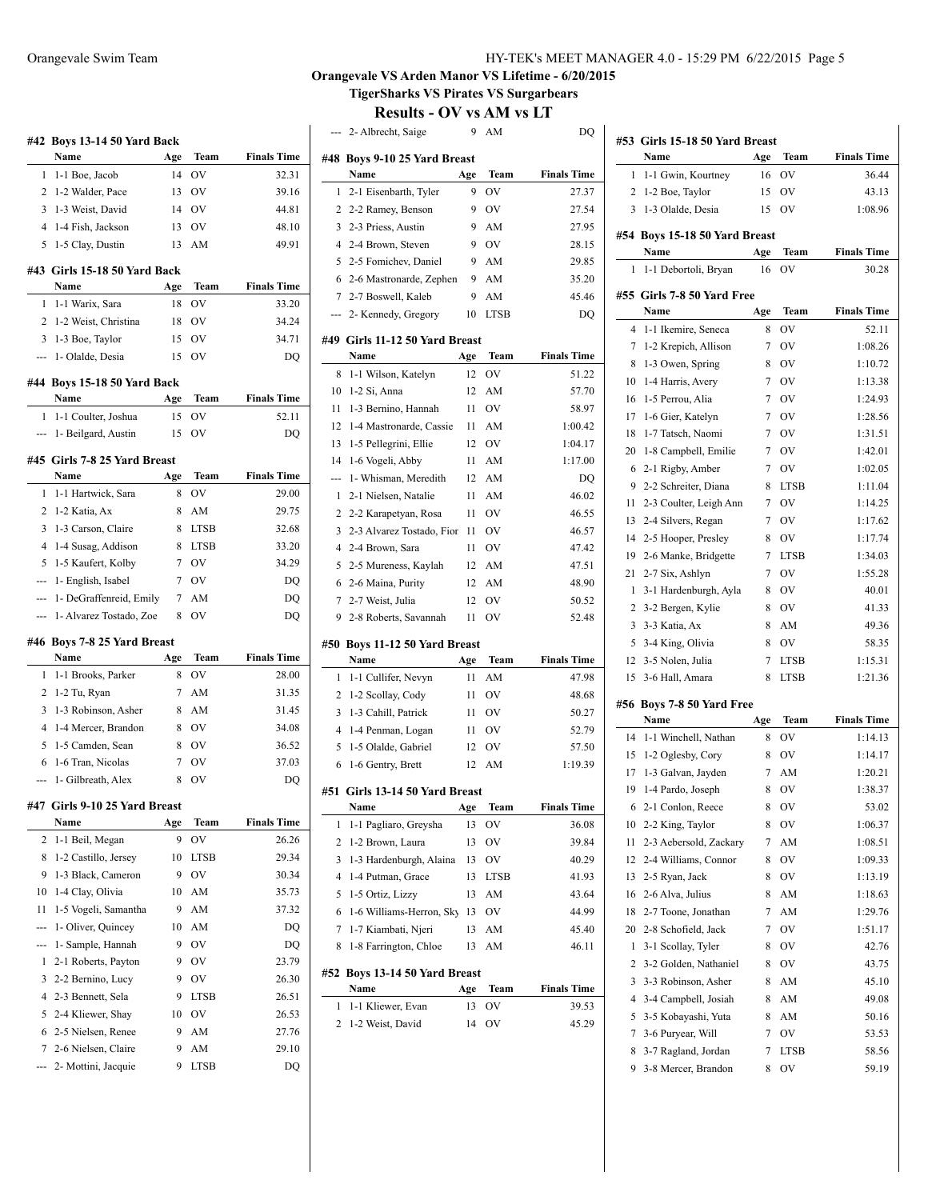| 32.31<br>1-1 Boe, Jacob<br>OV<br>1<br>14<br>2<br>1-2 Walder, Pace<br>OV<br>39.16<br>13<br>1-3 Weist, David<br><b>OV</b><br>3<br>14<br>44.81<br>1-4 Fish, Jackson<br>OV<br>4<br>13<br>48.10<br>1-5 Clay, Dustin<br>AM<br>49.91<br>5<br>13<br>#43 Girls 15-18 50 Yard Back<br>Name<br>Team<br><b>Finals Time</b><br>Age<br>18<br>OV<br>1-1 Warix, Sara<br>33.20<br>1<br>1-2 Weist, Christina<br>OV<br>2<br>18<br>34.24<br>OV<br>3<br>1-3 Boe, Taylor<br>15<br>34.71<br>1- Olalde, Desia<br>OV<br>15<br>DQ<br>#44 Boys 15-18 50 Yard Back<br>Name<br><b>Finals Time</b><br>Age<br>Team<br>1-1 Coulter, Joshua<br>15<br>OV<br>52.11<br>1<br>1- Beilgard, Austin<br>15<br>OV<br>DQ<br>#45 Girls 7-8 25 Yard Breast<br>Name<br>Age<br>Team<br><b>Finals Time</b><br>1-1 Hartwick, Sara<br>OV<br>29.00<br>8<br>1<br>1-2 Katia, Ax<br>2<br>8<br>AM<br>29.75<br>3<br>1-3 Carson, Claire<br>8<br><b>LTSB</b><br>32.68<br>1-4 Susag, Addison<br>4<br>8<br><b>LTSB</b><br>33.20<br>5<br>1-5 Kaufert, Kolby<br><b>OV</b><br>34.29<br>7<br>1- English, Isabel<br><b>OV</b><br>7<br>DQ<br>---<br>1- DeGraffenreid, Emily<br>7<br>AM<br>DQ<br>---<br>1- Alvarez Tostado, Zoe<br>OV<br>8<br>DQ<br>#46 Boys 7-8 25 Yard Breast<br><b>Finals Time</b><br>Name<br>Age<br>Team<br>1-1 Brooks, Parker<br>OV<br>8<br>28.00<br>1<br>31.35<br>2<br>1-2 Tu, Ryan<br>7<br>AM<br>3<br>1-3 Robinson, Asher<br>8<br>AM<br>31.45<br>1-4 Mercer, Brandon<br><b>OV</b><br>4<br>8<br>34.08<br>5<br>1-5 Camden, Sean<br><b>OV</b><br>8<br>36.52<br>1-6 Tran, Nicolas<br>OV<br>37.03<br>6<br>7<br>1- Gilbreath, Alex<br>8<br>OV<br>DQ<br>---<br>Girls 9-10 25 Yard Breast<br>#47<br>Name<br><b>Finals Time</b><br>Age<br>Team<br>1-1 Beil, Megan<br>9<br>OV<br>26.26<br>2<br>1-2 Castillo, Jersey<br>8<br>10<br>LTSB<br>29.34<br>1-3 Black, Cameron<br>OV<br>30.34<br>9<br>9<br>1-4 Clay, Olivia<br>AM<br>35.73<br>10<br>10<br>1-5 Vogeli, Samantha<br>AM<br>11<br>9<br>37.32<br>1- Oliver, Quincey<br>AM<br>10<br>DQ<br>1- Sample, Hannah<br>OV<br>9<br>DQ<br>---<br>2-1 Roberts, Payton<br>9<br>OV<br>1<br>23.79<br>3<br>2-2 Bernino, Lucy<br>9<br>ov<br>26.30<br>2-3 Bennett, Sela<br>4<br>LTSB<br>26.51<br>9<br>5<br>2-4 Kliewer, Shay<br>OV<br>10<br>26.53<br>2-5 Nielsen, Renee<br>6<br>9<br>AM<br>27.76<br>7<br>2-6 Nielsen, Claire<br>9<br>AM<br>29.10 | #42 Boys 13-14 50 Yard Back<br>Name |     | Team | <b>Finals Time</b> |
|----------------------------------------------------------------------------------------------------------------------------------------------------------------------------------------------------------------------------------------------------------------------------------------------------------------------------------------------------------------------------------------------------------------------------------------------------------------------------------------------------------------------------------------------------------------------------------------------------------------------------------------------------------------------------------------------------------------------------------------------------------------------------------------------------------------------------------------------------------------------------------------------------------------------------------------------------------------------------------------------------------------------------------------------------------------------------------------------------------------------------------------------------------------------------------------------------------------------------------------------------------------------------------------------------------------------------------------------------------------------------------------------------------------------------------------------------------------------------------------------------------------------------------------------------------------------------------------------------------------------------------------------------------------------------------------------------------------------------------------------------------------------------------------------------------------------------------------------------------------------------------------------------------------------------------------------------------------------------------------------------------------------------------------------------------------------------------------------------------------------------------------------------------------------------------------------------------------------------------------------------------------------------------------------------------------------------|-------------------------------------|-----|------|--------------------|
|                                                                                                                                                                                                                                                                                                                                                                                                                                                                                                                                                                                                                                                                                                                                                                                                                                                                                                                                                                                                                                                                                                                                                                                                                                                                                                                                                                                                                                                                                                                                                                                                                                                                                                                                                                                                                                                                                                                                                                                                                                                                                                                                                                                                                                                                                                                            |                                     | Age |      |                    |
|                                                                                                                                                                                                                                                                                                                                                                                                                                                                                                                                                                                                                                                                                                                                                                                                                                                                                                                                                                                                                                                                                                                                                                                                                                                                                                                                                                                                                                                                                                                                                                                                                                                                                                                                                                                                                                                                                                                                                                                                                                                                                                                                                                                                                                                                                                                            |                                     |     |      |                    |
|                                                                                                                                                                                                                                                                                                                                                                                                                                                                                                                                                                                                                                                                                                                                                                                                                                                                                                                                                                                                                                                                                                                                                                                                                                                                                                                                                                                                                                                                                                                                                                                                                                                                                                                                                                                                                                                                                                                                                                                                                                                                                                                                                                                                                                                                                                                            |                                     |     |      |                    |
|                                                                                                                                                                                                                                                                                                                                                                                                                                                                                                                                                                                                                                                                                                                                                                                                                                                                                                                                                                                                                                                                                                                                                                                                                                                                                                                                                                                                                                                                                                                                                                                                                                                                                                                                                                                                                                                                                                                                                                                                                                                                                                                                                                                                                                                                                                                            |                                     |     |      |                    |
|                                                                                                                                                                                                                                                                                                                                                                                                                                                                                                                                                                                                                                                                                                                                                                                                                                                                                                                                                                                                                                                                                                                                                                                                                                                                                                                                                                                                                                                                                                                                                                                                                                                                                                                                                                                                                                                                                                                                                                                                                                                                                                                                                                                                                                                                                                                            |                                     |     |      |                    |
|                                                                                                                                                                                                                                                                                                                                                                                                                                                                                                                                                                                                                                                                                                                                                                                                                                                                                                                                                                                                                                                                                                                                                                                                                                                                                                                                                                                                                                                                                                                                                                                                                                                                                                                                                                                                                                                                                                                                                                                                                                                                                                                                                                                                                                                                                                                            |                                     |     |      |                    |
|                                                                                                                                                                                                                                                                                                                                                                                                                                                                                                                                                                                                                                                                                                                                                                                                                                                                                                                                                                                                                                                                                                                                                                                                                                                                                                                                                                                                                                                                                                                                                                                                                                                                                                                                                                                                                                                                                                                                                                                                                                                                                                                                                                                                                                                                                                                            |                                     |     |      |                    |
|                                                                                                                                                                                                                                                                                                                                                                                                                                                                                                                                                                                                                                                                                                                                                                                                                                                                                                                                                                                                                                                                                                                                                                                                                                                                                                                                                                                                                                                                                                                                                                                                                                                                                                                                                                                                                                                                                                                                                                                                                                                                                                                                                                                                                                                                                                                            |                                     |     |      |                    |
|                                                                                                                                                                                                                                                                                                                                                                                                                                                                                                                                                                                                                                                                                                                                                                                                                                                                                                                                                                                                                                                                                                                                                                                                                                                                                                                                                                                                                                                                                                                                                                                                                                                                                                                                                                                                                                                                                                                                                                                                                                                                                                                                                                                                                                                                                                                            |                                     |     |      |                    |
|                                                                                                                                                                                                                                                                                                                                                                                                                                                                                                                                                                                                                                                                                                                                                                                                                                                                                                                                                                                                                                                                                                                                                                                                                                                                                                                                                                                                                                                                                                                                                                                                                                                                                                                                                                                                                                                                                                                                                                                                                                                                                                                                                                                                                                                                                                                            |                                     |     |      |                    |
|                                                                                                                                                                                                                                                                                                                                                                                                                                                                                                                                                                                                                                                                                                                                                                                                                                                                                                                                                                                                                                                                                                                                                                                                                                                                                                                                                                                                                                                                                                                                                                                                                                                                                                                                                                                                                                                                                                                                                                                                                                                                                                                                                                                                                                                                                                                            |                                     |     |      |                    |
|                                                                                                                                                                                                                                                                                                                                                                                                                                                                                                                                                                                                                                                                                                                                                                                                                                                                                                                                                                                                                                                                                                                                                                                                                                                                                                                                                                                                                                                                                                                                                                                                                                                                                                                                                                                                                                                                                                                                                                                                                                                                                                                                                                                                                                                                                                                            |                                     |     |      |                    |
|                                                                                                                                                                                                                                                                                                                                                                                                                                                                                                                                                                                                                                                                                                                                                                                                                                                                                                                                                                                                                                                                                                                                                                                                                                                                                                                                                                                                                                                                                                                                                                                                                                                                                                                                                                                                                                                                                                                                                                                                                                                                                                                                                                                                                                                                                                                            |                                     |     |      |                    |
|                                                                                                                                                                                                                                                                                                                                                                                                                                                                                                                                                                                                                                                                                                                                                                                                                                                                                                                                                                                                                                                                                                                                                                                                                                                                                                                                                                                                                                                                                                                                                                                                                                                                                                                                                                                                                                                                                                                                                                                                                                                                                                                                                                                                                                                                                                                            |                                     |     |      |                    |
|                                                                                                                                                                                                                                                                                                                                                                                                                                                                                                                                                                                                                                                                                                                                                                                                                                                                                                                                                                                                                                                                                                                                                                                                                                                                                                                                                                                                                                                                                                                                                                                                                                                                                                                                                                                                                                                                                                                                                                                                                                                                                                                                                                                                                                                                                                                            |                                     |     |      |                    |
|                                                                                                                                                                                                                                                                                                                                                                                                                                                                                                                                                                                                                                                                                                                                                                                                                                                                                                                                                                                                                                                                                                                                                                                                                                                                                                                                                                                                                                                                                                                                                                                                                                                                                                                                                                                                                                                                                                                                                                                                                                                                                                                                                                                                                                                                                                                            |                                     |     |      |                    |
|                                                                                                                                                                                                                                                                                                                                                                                                                                                                                                                                                                                                                                                                                                                                                                                                                                                                                                                                                                                                                                                                                                                                                                                                                                                                                                                                                                                                                                                                                                                                                                                                                                                                                                                                                                                                                                                                                                                                                                                                                                                                                                                                                                                                                                                                                                                            |                                     |     |      |                    |
|                                                                                                                                                                                                                                                                                                                                                                                                                                                                                                                                                                                                                                                                                                                                                                                                                                                                                                                                                                                                                                                                                                                                                                                                                                                                                                                                                                                                                                                                                                                                                                                                                                                                                                                                                                                                                                                                                                                                                                                                                                                                                                                                                                                                                                                                                                                            |                                     |     |      |                    |
|                                                                                                                                                                                                                                                                                                                                                                                                                                                                                                                                                                                                                                                                                                                                                                                                                                                                                                                                                                                                                                                                                                                                                                                                                                                                                                                                                                                                                                                                                                                                                                                                                                                                                                                                                                                                                                                                                                                                                                                                                                                                                                                                                                                                                                                                                                                            |                                     |     |      |                    |
|                                                                                                                                                                                                                                                                                                                                                                                                                                                                                                                                                                                                                                                                                                                                                                                                                                                                                                                                                                                                                                                                                                                                                                                                                                                                                                                                                                                                                                                                                                                                                                                                                                                                                                                                                                                                                                                                                                                                                                                                                                                                                                                                                                                                                                                                                                                            |                                     |     |      |                    |
|                                                                                                                                                                                                                                                                                                                                                                                                                                                                                                                                                                                                                                                                                                                                                                                                                                                                                                                                                                                                                                                                                                                                                                                                                                                                                                                                                                                                                                                                                                                                                                                                                                                                                                                                                                                                                                                                                                                                                                                                                                                                                                                                                                                                                                                                                                                            |                                     |     |      |                    |
|                                                                                                                                                                                                                                                                                                                                                                                                                                                                                                                                                                                                                                                                                                                                                                                                                                                                                                                                                                                                                                                                                                                                                                                                                                                                                                                                                                                                                                                                                                                                                                                                                                                                                                                                                                                                                                                                                                                                                                                                                                                                                                                                                                                                                                                                                                                            |                                     |     |      |                    |
|                                                                                                                                                                                                                                                                                                                                                                                                                                                                                                                                                                                                                                                                                                                                                                                                                                                                                                                                                                                                                                                                                                                                                                                                                                                                                                                                                                                                                                                                                                                                                                                                                                                                                                                                                                                                                                                                                                                                                                                                                                                                                                                                                                                                                                                                                                                            |                                     |     |      |                    |
|                                                                                                                                                                                                                                                                                                                                                                                                                                                                                                                                                                                                                                                                                                                                                                                                                                                                                                                                                                                                                                                                                                                                                                                                                                                                                                                                                                                                                                                                                                                                                                                                                                                                                                                                                                                                                                                                                                                                                                                                                                                                                                                                                                                                                                                                                                                            |                                     |     |      |                    |
|                                                                                                                                                                                                                                                                                                                                                                                                                                                                                                                                                                                                                                                                                                                                                                                                                                                                                                                                                                                                                                                                                                                                                                                                                                                                                                                                                                                                                                                                                                                                                                                                                                                                                                                                                                                                                                                                                                                                                                                                                                                                                                                                                                                                                                                                                                                            |                                     |     |      |                    |
|                                                                                                                                                                                                                                                                                                                                                                                                                                                                                                                                                                                                                                                                                                                                                                                                                                                                                                                                                                                                                                                                                                                                                                                                                                                                                                                                                                                                                                                                                                                                                                                                                                                                                                                                                                                                                                                                                                                                                                                                                                                                                                                                                                                                                                                                                                                            |                                     |     |      |                    |
|                                                                                                                                                                                                                                                                                                                                                                                                                                                                                                                                                                                                                                                                                                                                                                                                                                                                                                                                                                                                                                                                                                                                                                                                                                                                                                                                                                                                                                                                                                                                                                                                                                                                                                                                                                                                                                                                                                                                                                                                                                                                                                                                                                                                                                                                                                                            |                                     |     |      |                    |
|                                                                                                                                                                                                                                                                                                                                                                                                                                                                                                                                                                                                                                                                                                                                                                                                                                                                                                                                                                                                                                                                                                                                                                                                                                                                                                                                                                                                                                                                                                                                                                                                                                                                                                                                                                                                                                                                                                                                                                                                                                                                                                                                                                                                                                                                                                                            |                                     |     |      |                    |
|                                                                                                                                                                                                                                                                                                                                                                                                                                                                                                                                                                                                                                                                                                                                                                                                                                                                                                                                                                                                                                                                                                                                                                                                                                                                                                                                                                                                                                                                                                                                                                                                                                                                                                                                                                                                                                                                                                                                                                                                                                                                                                                                                                                                                                                                                                                            |                                     |     |      |                    |
|                                                                                                                                                                                                                                                                                                                                                                                                                                                                                                                                                                                                                                                                                                                                                                                                                                                                                                                                                                                                                                                                                                                                                                                                                                                                                                                                                                                                                                                                                                                                                                                                                                                                                                                                                                                                                                                                                                                                                                                                                                                                                                                                                                                                                                                                                                                            |                                     |     |      |                    |
|                                                                                                                                                                                                                                                                                                                                                                                                                                                                                                                                                                                                                                                                                                                                                                                                                                                                                                                                                                                                                                                                                                                                                                                                                                                                                                                                                                                                                                                                                                                                                                                                                                                                                                                                                                                                                                                                                                                                                                                                                                                                                                                                                                                                                                                                                                                            |                                     |     |      |                    |
|                                                                                                                                                                                                                                                                                                                                                                                                                                                                                                                                                                                                                                                                                                                                                                                                                                                                                                                                                                                                                                                                                                                                                                                                                                                                                                                                                                                                                                                                                                                                                                                                                                                                                                                                                                                                                                                                                                                                                                                                                                                                                                                                                                                                                                                                                                                            |                                     |     |      |                    |
|                                                                                                                                                                                                                                                                                                                                                                                                                                                                                                                                                                                                                                                                                                                                                                                                                                                                                                                                                                                                                                                                                                                                                                                                                                                                                                                                                                                                                                                                                                                                                                                                                                                                                                                                                                                                                                                                                                                                                                                                                                                                                                                                                                                                                                                                                                                            |                                     |     |      |                    |
|                                                                                                                                                                                                                                                                                                                                                                                                                                                                                                                                                                                                                                                                                                                                                                                                                                                                                                                                                                                                                                                                                                                                                                                                                                                                                                                                                                                                                                                                                                                                                                                                                                                                                                                                                                                                                                                                                                                                                                                                                                                                                                                                                                                                                                                                                                                            |                                     |     |      |                    |
|                                                                                                                                                                                                                                                                                                                                                                                                                                                                                                                                                                                                                                                                                                                                                                                                                                                                                                                                                                                                                                                                                                                                                                                                                                                                                                                                                                                                                                                                                                                                                                                                                                                                                                                                                                                                                                                                                                                                                                                                                                                                                                                                                                                                                                                                                                                            |                                     |     |      |                    |
|                                                                                                                                                                                                                                                                                                                                                                                                                                                                                                                                                                                                                                                                                                                                                                                                                                                                                                                                                                                                                                                                                                                                                                                                                                                                                                                                                                                                                                                                                                                                                                                                                                                                                                                                                                                                                                                                                                                                                                                                                                                                                                                                                                                                                                                                                                                            |                                     |     |      |                    |
|                                                                                                                                                                                                                                                                                                                                                                                                                                                                                                                                                                                                                                                                                                                                                                                                                                                                                                                                                                                                                                                                                                                                                                                                                                                                                                                                                                                                                                                                                                                                                                                                                                                                                                                                                                                                                                                                                                                                                                                                                                                                                                                                                                                                                                                                                                                            |                                     |     |      |                    |
|                                                                                                                                                                                                                                                                                                                                                                                                                                                                                                                                                                                                                                                                                                                                                                                                                                                                                                                                                                                                                                                                                                                                                                                                                                                                                                                                                                                                                                                                                                                                                                                                                                                                                                                                                                                                                                                                                                                                                                                                                                                                                                                                                                                                                                                                                                                            |                                     |     |      |                    |
|                                                                                                                                                                                                                                                                                                                                                                                                                                                                                                                                                                                                                                                                                                                                                                                                                                                                                                                                                                                                                                                                                                                                                                                                                                                                                                                                                                                                                                                                                                                                                                                                                                                                                                                                                                                                                                                                                                                                                                                                                                                                                                                                                                                                                                                                                                                            |                                     |     |      |                    |
|                                                                                                                                                                                                                                                                                                                                                                                                                                                                                                                                                                                                                                                                                                                                                                                                                                                                                                                                                                                                                                                                                                                                                                                                                                                                                                                                                                                                                                                                                                                                                                                                                                                                                                                                                                                                                                                                                                                                                                                                                                                                                                                                                                                                                                                                                                                            |                                     |     |      |                    |
|                                                                                                                                                                                                                                                                                                                                                                                                                                                                                                                                                                                                                                                                                                                                                                                                                                                                                                                                                                                                                                                                                                                                                                                                                                                                                                                                                                                                                                                                                                                                                                                                                                                                                                                                                                                                                                                                                                                                                                                                                                                                                                                                                                                                                                                                                                                            |                                     |     |      |                    |
|                                                                                                                                                                                                                                                                                                                                                                                                                                                                                                                                                                                                                                                                                                                                                                                                                                                                                                                                                                                                                                                                                                                                                                                                                                                                                                                                                                                                                                                                                                                                                                                                                                                                                                                                                                                                                                                                                                                                                                                                                                                                                                                                                                                                                                                                                                                            |                                     |     |      |                    |
|                                                                                                                                                                                                                                                                                                                                                                                                                                                                                                                                                                                                                                                                                                                                                                                                                                                                                                                                                                                                                                                                                                                                                                                                                                                                                                                                                                                                                                                                                                                                                                                                                                                                                                                                                                                                                                                                                                                                                                                                                                                                                                                                                                                                                                                                                                                            |                                     |     |      |                    |
|                                                                                                                                                                                                                                                                                                                                                                                                                                                                                                                                                                                                                                                                                                                                                                                                                                                                                                                                                                                                                                                                                                                                                                                                                                                                                                                                                                                                                                                                                                                                                                                                                                                                                                                                                                                                                                                                                                                                                                                                                                                                                                                                                                                                                                                                                                                            |                                     |     |      |                    |
|                                                                                                                                                                                                                                                                                                                                                                                                                                                                                                                                                                                                                                                                                                                                                                                                                                                                                                                                                                                                                                                                                                                                                                                                                                                                                                                                                                                                                                                                                                                                                                                                                                                                                                                                                                                                                                                                                                                                                                                                                                                                                                                                                                                                                                                                                                                            |                                     |     |      |                    |
|                                                                                                                                                                                                                                                                                                                                                                                                                                                                                                                                                                                                                                                                                                                                                                                                                                                                                                                                                                                                                                                                                                                                                                                                                                                                                                                                                                                                                                                                                                                                                                                                                                                                                                                                                                                                                                                                                                                                                                                                                                                                                                                                                                                                                                                                                                                            |                                     |     |      |                    |
|                                                                                                                                                                                                                                                                                                                                                                                                                                                                                                                                                                                                                                                                                                                                                                                                                                                                                                                                                                                                                                                                                                                                                                                                                                                                                                                                                                                                                                                                                                                                                                                                                                                                                                                                                                                                                                                                                                                                                                                                                                                                                                                                                                                                                                                                                                                            |                                     |     |      |                    |
|                                                                                                                                                                                                                                                                                                                                                                                                                                                                                                                                                                                                                                                                                                                                                                                                                                                                                                                                                                                                                                                                                                                                                                                                                                                                                                                                                                                                                                                                                                                                                                                                                                                                                                                                                                                                                                                                                                                                                                                                                                                                                                                                                                                                                                                                                                                            |                                     |     |      |                    |

--- 2- Mottini, Jacquie 9 LTSB DQ

| HY-TEK's MEET MANAGER 4.0 - 15:29 PM 6/22/2015 Page 5 |  |
|-------------------------------------------------------|--|
|-------------------------------------------------------|--|

### **Orangevale VS Arden Manor VS Lifetime - 6/20/2015 TigerSharks VS Pirates VS Surgarbears**

| #48 Boys 9-10 25 Yard Breast<br>Name<br>Team<br><b>Finals Time</b><br>Age<br>OV<br>2-1 Eisenbarth, Tyler<br>27.37<br>1<br>9<br>9<br>OV<br>2<br>2-2 Ramey, Benson<br>27.54<br>3<br>2-3 Priess, Austin<br>9<br>AM<br>27.95<br>OV<br>4<br>2-4 Brown, Steven<br>9<br>28.15<br>5<br>2-5 Fomichev, Daniel<br>AM<br>9<br>29.85<br>AM<br>35.20<br>6<br>2-6 Mastronarde, Zephen<br>9<br>7<br>2-7 Boswell, Kaleb<br>AM<br>45.46<br>9<br>2- Kennedy, Gregory<br>10<br><b>LTSB</b><br>DQ<br>---<br>#49 Girls 11-12 50 Yard Breast<br>Name<br>Team<br><b>Finals Time</b><br>Age<br>OV<br>51.22<br>8<br>1-1 Wilson, Katelyn<br>12<br>10<br>1-2 Si, Anna<br>12<br>AM<br>57.70<br>1-3 Bernino, Hannah<br>OV<br>11<br>11<br>58.97<br>12<br>1-4 Mastronarde, Cassie<br>AM<br>1:00.42<br>11<br>13<br>1-5 Pellegrini, Ellie<br>OV<br>12<br>1:04.17<br>1-6 Vogeli, Abby<br>AM<br>14<br>11<br>1:17.00<br>1- Whisman, Meredith<br>AM<br>12<br>DO<br>---<br>2-1 Nielsen, Natalie<br>AM<br>1<br>11<br>46.02<br>2<br>OV<br>46.55<br>2-2 Karapetyan, Rosa<br>11<br>3<br>2-3 Alvarez Tostado, Fior 11<br>OV<br>46.57<br>$\overline{4}$<br>OV<br>2-4 Brown, Sara<br>11<br>47.42<br>5<br>2-5 Mureness, Kaylah<br>12<br>AM<br>47.51<br>2-6 Maina, Purity<br>6<br>12<br>AM<br>48.90<br>2-7 Weist, Julia<br>OV<br>7<br>12<br>50.52<br>2-8 Roberts, Savannah<br>OV<br>52.48<br>9<br>11<br>Boys 11-12 50 Yard Breast<br>#50<br><b>Finals Time</b><br>Name<br>Age<br><b>Team</b><br>AM<br>1-1 Cullifer, Nevyn<br>11<br>47.98<br>1<br>OV<br>2<br>1-2 Scollay, Cody<br>11<br>48.68<br>3<br>1-3 Cahill, Patrick<br>OV<br>11<br>50.27<br>$\overline{4}$<br>1-4 Penman, Logan<br>OV<br>52.79<br>11<br>5<br>1-5 Olalde, Gabriel<br>OV<br>12<br>57.50<br>1-6 Gentry, Brett<br>AM<br>6<br>12<br>1:19.39<br>#51 Girls 13-14 50 Yard Breast<br><b>Finals Time</b><br>Name<br>Team<br>Age<br>1<br>1-1 Pagliaro, Greysha<br>13<br>OV<br>36.08<br>1-2 Brown, Laura<br>2<br>13<br>OV<br>39.84<br>3<br>1-3 Hardenburgh, Alaina<br>OV<br>13<br>40.29<br>4<br>1-4 Putman, Grace<br>13<br><b>LTSB</b><br>41.93<br>5<br>1-5 Ortiz, Lizzy<br>13<br>AM<br>43.64<br>1-6 Williams-Herron, Sky<br>OV<br>6<br>13<br>44.99<br>1-7 Kiambati, Njeri<br>7<br>13<br>AM<br>45.40<br>1-8 Farrington, Chloe<br>13<br>AM<br>46.11<br>8<br>Boys 13-14 50 Yard Breast<br>#52<br>Name<br><b>Finals Time</b><br>Age<br>Team<br>13<br>OV<br>39.53<br>1<br>1-1 Kliewer, Evan<br>2<br>1-2 Weist, David<br>14<br>OV<br>45.29 | 2- Albrecht, Saige | 9 | AM | DQ |
|------------------------------------------------------------------------------------------------------------------------------------------------------------------------------------------------------------------------------------------------------------------------------------------------------------------------------------------------------------------------------------------------------------------------------------------------------------------------------------------------------------------------------------------------------------------------------------------------------------------------------------------------------------------------------------------------------------------------------------------------------------------------------------------------------------------------------------------------------------------------------------------------------------------------------------------------------------------------------------------------------------------------------------------------------------------------------------------------------------------------------------------------------------------------------------------------------------------------------------------------------------------------------------------------------------------------------------------------------------------------------------------------------------------------------------------------------------------------------------------------------------------------------------------------------------------------------------------------------------------------------------------------------------------------------------------------------------------------------------------------------------------------------------------------------------------------------------------------------------------------------------------------------------------------------------------------------------------------------------------------------------------------------------------------------------------------------------------------------------------------------------------------------------------------------------------------------------------------------------------------------------------------------------------------------------------------------------------------------------------------------------------------------------------------------------------------|--------------------|---|----|----|
|                                                                                                                                                                                                                                                                                                                                                                                                                                                                                                                                                                                                                                                                                                                                                                                                                                                                                                                                                                                                                                                                                                                                                                                                                                                                                                                                                                                                                                                                                                                                                                                                                                                                                                                                                                                                                                                                                                                                                                                                                                                                                                                                                                                                                                                                                                                                                                                                                                                |                    |   |    |    |
|                                                                                                                                                                                                                                                                                                                                                                                                                                                                                                                                                                                                                                                                                                                                                                                                                                                                                                                                                                                                                                                                                                                                                                                                                                                                                                                                                                                                                                                                                                                                                                                                                                                                                                                                                                                                                                                                                                                                                                                                                                                                                                                                                                                                                                                                                                                                                                                                                                                |                    |   |    |    |
|                                                                                                                                                                                                                                                                                                                                                                                                                                                                                                                                                                                                                                                                                                                                                                                                                                                                                                                                                                                                                                                                                                                                                                                                                                                                                                                                                                                                                                                                                                                                                                                                                                                                                                                                                                                                                                                                                                                                                                                                                                                                                                                                                                                                                                                                                                                                                                                                                                                |                    |   |    |    |
|                                                                                                                                                                                                                                                                                                                                                                                                                                                                                                                                                                                                                                                                                                                                                                                                                                                                                                                                                                                                                                                                                                                                                                                                                                                                                                                                                                                                                                                                                                                                                                                                                                                                                                                                                                                                                                                                                                                                                                                                                                                                                                                                                                                                                                                                                                                                                                                                                                                |                    |   |    |    |
|                                                                                                                                                                                                                                                                                                                                                                                                                                                                                                                                                                                                                                                                                                                                                                                                                                                                                                                                                                                                                                                                                                                                                                                                                                                                                                                                                                                                                                                                                                                                                                                                                                                                                                                                                                                                                                                                                                                                                                                                                                                                                                                                                                                                                                                                                                                                                                                                                                                |                    |   |    |    |
|                                                                                                                                                                                                                                                                                                                                                                                                                                                                                                                                                                                                                                                                                                                                                                                                                                                                                                                                                                                                                                                                                                                                                                                                                                                                                                                                                                                                                                                                                                                                                                                                                                                                                                                                                                                                                                                                                                                                                                                                                                                                                                                                                                                                                                                                                                                                                                                                                                                |                    |   |    |    |
|                                                                                                                                                                                                                                                                                                                                                                                                                                                                                                                                                                                                                                                                                                                                                                                                                                                                                                                                                                                                                                                                                                                                                                                                                                                                                                                                                                                                                                                                                                                                                                                                                                                                                                                                                                                                                                                                                                                                                                                                                                                                                                                                                                                                                                                                                                                                                                                                                                                |                    |   |    |    |
|                                                                                                                                                                                                                                                                                                                                                                                                                                                                                                                                                                                                                                                                                                                                                                                                                                                                                                                                                                                                                                                                                                                                                                                                                                                                                                                                                                                                                                                                                                                                                                                                                                                                                                                                                                                                                                                                                                                                                                                                                                                                                                                                                                                                                                                                                                                                                                                                                                                |                    |   |    |    |
|                                                                                                                                                                                                                                                                                                                                                                                                                                                                                                                                                                                                                                                                                                                                                                                                                                                                                                                                                                                                                                                                                                                                                                                                                                                                                                                                                                                                                                                                                                                                                                                                                                                                                                                                                                                                                                                                                                                                                                                                                                                                                                                                                                                                                                                                                                                                                                                                                                                |                    |   |    |    |
|                                                                                                                                                                                                                                                                                                                                                                                                                                                                                                                                                                                                                                                                                                                                                                                                                                                                                                                                                                                                                                                                                                                                                                                                                                                                                                                                                                                                                                                                                                                                                                                                                                                                                                                                                                                                                                                                                                                                                                                                                                                                                                                                                                                                                                                                                                                                                                                                                                                |                    |   |    |    |
|                                                                                                                                                                                                                                                                                                                                                                                                                                                                                                                                                                                                                                                                                                                                                                                                                                                                                                                                                                                                                                                                                                                                                                                                                                                                                                                                                                                                                                                                                                                                                                                                                                                                                                                                                                                                                                                                                                                                                                                                                                                                                                                                                                                                                                                                                                                                                                                                                                                |                    |   |    |    |
|                                                                                                                                                                                                                                                                                                                                                                                                                                                                                                                                                                                                                                                                                                                                                                                                                                                                                                                                                                                                                                                                                                                                                                                                                                                                                                                                                                                                                                                                                                                                                                                                                                                                                                                                                                                                                                                                                                                                                                                                                                                                                                                                                                                                                                                                                                                                                                                                                                                |                    |   |    |    |
|                                                                                                                                                                                                                                                                                                                                                                                                                                                                                                                                                                                                                                                                                                                                                                                                                                                                                                                                                                                                                                                                                                                                                                                                                                                                                                                                                                                                                                                                                                                                                                                                                                                                                                                                                                                                                                                                                                                                                                                                                                                                                                                                                                                                                                                                                                                                                                                                                                                |                    |   |    |    |
|                                                                                                                                                                                                                                                                                                                                                                                                                                                                                                                                                                                                                                                                                                                                                                                                                                                                                                                                                                                                                                                                                                                                                                                                                                                                                                                                                                                                                                                                                                                                                                                                                                                                                                                                                                                                                                                                                                                                                                                                                                                                                                                                                                                                                                                                                                                                                                                                                                                |                    |   |    |    |
|                                                                                                                                                                                                                                                                                                                                                                                                                                                                                                                                                                                                                                                                                                                                                                                                                                                                                                                                                                                                                                                                                                                                                                                                                                                                                                                                                                                                                                                                                                                                                                                                                                                                                                                                                                                                                                                                                                                                                                                                                                                                                                                                                                                                                                                                                                                                                                                                                                                |                    |   |    |    |
|                                                                                                                                                                                                                                                                                                                                                                                                                                                                                                                                                                                                                                                                                                                                                                                                                                                                                                                                                                                                                                                                                                                                                                                                                                                                                                                                                                                                                                                                                                                                                                                                                                                                                                                                                                                                                                                                                                                                                                                                                                                                                                                                                                                                                                                                                                                                                                                                                                                |                    |   |    |    |
|                                                                                                                                                                                                                                                                                                                                                                                                                                                                                                                                                                                                                                                                                                                                                                                                                                                                                                                                                                                                                                                                                                                                                                                                                                                                                                                                                                                                                                                                                                                                                                                                                                                                                                                                                                                                                                                                                                                                                                                                                                                                                                                                                                                                                                                                                                                                                                                                                                                |                    |   |    |    |
|                                                                                                                                                                                                                                                                                                                                                                                                                                                                                                                                                                                                                                                                                                                                                                                                                                                                                                                                                                                                                                                                                                                                                                                                                                                                                                                                                                                                                                                                                                                                                                                                                                                                                                                                                                                                                                                                                                                                                                                                                                                                                                                                                                                                                                                                                                                                                                                                                                                |                    |   |    |    |
|                                                                                                                                                                                                                                                                                                                                                                                                                                                                                                                                                                                                                                                                                                                                                                                                                                                                                                                                                                                                                                                                                                                                                                                                                                                                                                                                                                                                                                                                                                                                                                                                                                                                                                                                                                                                                                                                                                                                                                                                                                                                                                                                                                                                                                                                                                                                                                                                                                                |                    |   |    |    |
|                                                                                                                                                                                                                                                                                                                                                                                                                                                                                                                                                                                                                                                                                                                                                                                                                                                                                                                                                                                                                                                                                                                                                                                                                                                                                                                                                                                                                                                                                                                                                                                                                                                                                                                                                                                                                                                                                                                                                                                                                                                                                                                                                                                                                                                                                                                                                                                                                                                |                    |   |    |    |
|                                                                                                                                                                                                                                                                                                                                                                                                                                                                                                                                                                                                                                                                                                                                                                                                                                                                                                                                                                                                                                                                                                                                                                                                                                                                                                                                                                                                                                                                                                                                                                                                                                                                                                                                                                                                                                                                                                                                                                                                                                                                                                                                                                                                                                                                                                                                                                                                                                                |                    |   |    |    |
|                                                                                                                                                                                                                                                                                                                                                                                                                                                                                                                                                                                                                                                                                                                                                                                                                                                                                                                                                                                                                                                                                                                                                                                                                                                                                                                                                                                                                                                                                                                                                                                                                                                                                                                                                                                                                                                                                                                                                                                                                                                                                                                                                                                                                                                                                                                                                                                                                                                |                    |   |    |    |
|                                                                                                                                                                                                                                                                                                                                                                                                                                                                                                                                                                                                                                                                                                                                                                                                                                                                                                                                                                                                                                                                                                                                                                                                                                                                                                                                                                                                                                                                                                                                                                                                                                                                                                                                                                                                                                                                                                                                                                                                                                                                                                                                                                                                                                                                                                                                                                                                                                                |                    |   |    |    |
|                                                                                                                                                                                                                                                                                                                                                                                                                                                                                                                                                                                                                                                                                                                                                                                                                                                                                                                                                                                                                                                                                                                                                                                                                                                                                                                                                                                                                                                                                                                                                                                                                                                                                                                                                                                                                                                                                                                                                                                                                                                                                                                                                                                                                                                                                                                                                                                                                                                |                    |   |    |    |
|                                                                                                                                                                                                                                                                                                                                                                                                                                                                                                                                                                                                                                                                                                                                                                                                                                                                                                                                                                                                                                                                                                                                                                                                                                                                                                                                                                                                                                                                                                                                                                                                                                                                                                                                                                                                                                                                                                                                                                                                                                                                                                                                                                                                                                                                                                                                                                                                                                                |                    |   |    |    |
|                                                                                                                                                                                                                                                                                                                                                                                                                                                                                                                                                                                                                                                                                                                                                                                                                                                                                                                                                                                                                                                                                                                                                                                                                                                                                                                                                                                                                                                                                                                                                                                                                                                                                                                                                                                                                                                                                                                                                                                                                                                                                                                                                                                                                                                                                                                                                                                                                                                |                    |   |    |    |
|                                                                                                                                                                                                                                                                                                                                                                                                                                                                                                                                                                                                                                                                                                                                                                                                                                                                                                                                                                                                                                                                                                                                                                                                                                                                                                                                                                                                                                                                                                                                                                                                                                                                                                                                                                                                                                                                                                                                                                                                                                                                                                                                                                                                                                                                                                                                                                                                                                                |                    |   |    |    |
|                                                                                                                                                                                                                                                                                                                                                                                                                                                                                                                                                                                                                                                                                                                                                                                                                                                                                                                                                                                                                                                                                                                                                                                                                                                                                                                                                                                                                                                                                                                                                                                                                                                                                                                                                                                                                                                                                                                                                                                                                                                                                                                                                                                                                                                                                                                                                                                                                                                |                    |   |    |    |
|                                                                                                                                                                                                                                                                                                                                                                                                                                                                                                                                                                                                                                                                                                                                                                                                                                                                                                                                                                                                                                                                                                                                                                                                                                                                                                                                                                                                                                                                                                                                                                                                                                                                                                                                                                                                                                                                                                                                                                                                                                                                                                                                                                                                                                                                                                                                                                                                                                                |                    |   |    |    |
|                                                                                                                                                                                                                                                                                                                                                                                                                                                                                                                                                                                                                                                                                                                                                                                                                                                                                                                                                                                                                                                                                                                                                                                                                                                                                                                                                                                                                                                                                                                                                                                                                                                                                                                                                                                                                                                                                                                                                                                                                                                                                                                                                                                                                                                                                                                                                                                                                                                |                    |   |    |    |
|                                                                                                                                                                                                                                                                                                                                                                                                                                                                                                                                                                                                                                                                                                                                                                                                                                                                                                                                                                                                                                                                                                                                                                                                                                                                                                                                                                                                                                                                                                                                                                                                                                                                                                                                                                                                                                                                                                                                                                                                                                                                                                                                                                                                                                                                                                                                                                                                                                                |                    |   |    |    |
|                                                                                                                                                                                                                                                                                                                                                                                                                                                                                                                                                                                                                                                                                                                                                                                                                                                                                                                                                                                                                                                                                                                                                                                                                                                                                                                                                                                                                                                                                                                                                                                                                                                                                                                                                                                                                                                                                                                                                                                                                                                                                                                                                                                                                                                                                                                                                                                                                                                |                    |   |    |    |
|                                                                                                                                                                                                                                                                                                                                                                                                                                                                                                                                                                                                                                                                                                                                                                                                                                                                                                                                                                                                                                                                                                                                                                                                                                                                                                                                                                                                                                                                                                                                                                                                                                                                                                                                                                                                                                                                                                                                                                                                                                                                                                                                                                                                                                                                                                                                                                                                                                                |                    |   |    |    |
|                                                                                                                                                                                                                                                                                                                                                                                                                                                                                                                                                                                                                                                                                                                                                                                                                                                                                                                                                                                                                                                                                                                                                                                                                                                                                                                                                                                                                                                                                                                                                                                                                                                                                                                                                                                                                                                                                                                                                                                                                                                                                                                                                                                                                                                                                                                                                                                                                                                |                    |   |    |    |
|                                                                                                                                                                                                                                                                                                                                                                                                                                                                                                                                                                                                                                                                                                                                                                                                                                                                                                                                                                                                                                                                                                                                                                                                                                                                                                                                                                                                                                                                                                                                                                                                                                                                                                                                                                                                                                                                                                                                                                                                                                                                                                                                                                                                                                                                                                                                                                                                                                                |                    |   |    |    |
|                                                                                                                                                                                                                                                                                                                                                                                                                                                                                                                                                                                                                                                                                                                                                                                                                                                                                                                                                                                                                                                                                                                                                                                                                                                                                                                                                                                                                                                                                                                                                                                                                                                                                                                                                                                                                                                                                                                                                                                                                                                                                                                                                                                                                                                                                                                                                                                                                                                |                    |   |    |    |
|                                                                                                                                                                                                                                                                                                                                                                                                                                                                                                                                                                                                                                                                                                                                                                                                                                                                                                                                                                                                                                                                                                                                                                                                                                                                                                                                                                                                                                                                                                                                                                                                                                                                                                                                                                                                                                                                                                                                                                                                                                                                                                                                                                                                                                                                                                                                                                                                                                                |                    |   |    |    |
|                                                                                                                                                                                                                                                                                                                                                                                                                                                                                                                                                                                                                                                                                                                                                                                                                                                                                                                                                                                                                                                                                                                                                                                                                                                                                                                                                                                                                                                                                                                                                                                                                                                                                                                                                                                                                                                                                                                                                                                                                                                                                                                                                                                                                                                                                                                                                                                                                                                |                    |   |    |    |
|                                                                                                                                                                                                                                                                                                                                                                                                                                                                                                                                                                                                                                                                                                                                                                                                                                                                                                                                                                                                                                                                                                                                                                                                                                                                                                                                                                                                                                                                                                                                                                                                                                                                                                                                                                                                                                                                                                                                                                                                                                                                                                                                                                                                                                                                                                                                                                                                                                                |                    |   |    |    |
|                                                                                                                                                                                                                                                                                                                                                                                                                                                                                                                                                                                                                                                                                                                                                                                                                                                                                                                                                                                                                                                                                                                                                                                                                                                                                                                                                                                                                                                                                                                                                                                                                                                                                                                                                                                                                                                                                                                                                                                                                                                                                                                                                                                                                                                                                                                                                                                                                                                |                    |   |    |    |
|                                                                                                                                                                                                                                                                                                                                                                                                                                                                                                                                                                                                                                                                                                                                                                                                                                                                                                                                                                                                                                                                                                                                                                                                                                                                                                                                                                                                                                                                                                                                                                                                                                                                                                                                                                                                                                                                                                                                                                                                                                                                                                                                                                                                                                                                                                                                                                                                                                                |                    |   |    |    |
|                                                                                                                                                                                                                                                                                                                                                                                                                                                                                                                                                                                                                                                                                                                                                                                                                                                                                                                                                                                                                                                                                                                                                                                                                                                                                                                                                                                                                                                                                                                                                                                                                                                                                                                                                                                                                                                                                                                                                                                                                                                                                                                                                                                                                                                                                                                                                                                                                                                |                    |   |    |    |
|                                                                                                                                                                                                                                                                                                                                                                                                                                                                                                                                                                                                                                                                                                                                                                                                                                                                                                                                                                                                                                                                                                                                                                                                                                                                                                                                                                                                                                                                                                                                                                                                                                                                                                                                                                                                                                                                                                                                                                                                                                                                                                                                                                                                                                                                                                                                                                                                                                                |                    |   |    |    |
|                                                                                                                                                                                                                                                                                                                                                                                                                                                                                                                                                                                                                                                                                                                                                                                                                                                                                                                                                                                                                                                                                                                                                                                                                                                                                                                                                                                                                                                                                                                                                                                                                                                                                                                                                                                                                                                                                                                                                                                                                                                                                                                                                                                                                                                                                                                                                                                                                                                |                    |   |    |    |
|                                                                                                                                                                                                                                                                                                                                                                                                                                                                                                                                                                                                                                                                                                                                                                                                                                                                                                                                                                                                                                                                                                                                                                                                                                                                                                                                                                                                                                                                                                                                                                                                                                                                                                                                                                                                                                                                                                                                                                                                                                                                                                                                                                                                                                                                                                                                                                                                                                                |                    |   |    |    |
|                                                                                                                                                                                                                                                                                                                                                                                                                                                                                                                                                                                                                                                                                                                                                                                                                                                                                                                                                                                                                                                                                                                                                                                                                                                                                                                                                                                                                                                                                                                                                                                                                                                                                                                                                                                                                                                                                                                                                                                                                                                                                                                                                                                                                                                                                                                                                                                                                                                |                    |   |    |    |
|                                                                                                                                                                                                                                                                                                                                                                                                                                                                                                                                                                                                                                                                                                                                                                                                                                                                                                                                                                                                                                                                                                                                                                                                                                                                                                                                                                                                                                                                                                                                                                                                                                                                                                                                                                                                                                                                                                                                                                                                                                                                                                                                                                                                                                                                                                                                                                                                                                                |                    |   |    |    |
|                                                                                                                                                                                                                                                                                                                                                                                                                                                                                                                                                                                                                                                                                                                                                                                                                                                                                                                                                                                                                                                                                                                                                                                                                                                                                                                                                                                                                                                                                                                                                                                                                                                                                                                                                                                                                                                                                                                                                                                                                                                                                                                                                                                                                                                                                                                                                                                                                                                |                    |   |    |    |
|                                                                                                                                                                                                                                                                                                                                                                                                                                                                                                                                                                                                                                                                                                                                                                                                                                                                                                                                                                                                                                                                                                                                                                                                                                                                                                                                                                                                                                                                                                                                                                                                                                                                                                                                                                                                                                                                                                                                                                                                                                                                                                                                                                                                                                                                                                                                                                                                                                                |                    |   |    |    |
|                                                                                                                                                                                                                                                                                                                                                                                                                                                                                                                                                                                                                                                                                                                                                                                                                                                                                                                                                                                                                                                                                                                                                                                                                                                                                                                                                                                                                                                                                                                                                                                                                                                                                                                                                                                                                                                                                                                                                                                                                                                                                                                                                                                                                                                                                                                                                                                                                                                |                    |   |    |    |
|                                                                                                                                                                                                                                                                                                                                                                                                                                                                                                                                                                                                                                                                                                                                                                                                                                                                                                                                                                                                                                                                                                                                                                                                                                                                                                                                                                                                                                                                                                                                                                                                                                                                                                                                                                                                                                                                                                                                                                                                                                                                                                                                                                                                                                                                                                                                                                                                                                                |                    |   |    |    |

|    | #53 Girls 15-18 50 Yard Breast        |           |             |                    |
|----|---------------------------------------|-----------|-------------|--------------------|
|    | Name                                  | Age       | Team        | <b>Finals Time</b> |
| 1  | 1-1 Gwin, Kourtney                    | 16        | OV          | 36.44              |
| 2  | 1-2 Boe, Taylor                       | 15        | OV          | 43.13              |
| 3  | 1-3 Olalde, Desia                     | 15        | OV          | 1:08.96            |
|    |                                       |           |             |                    |
|    | #54 Boys 15-18 50 Yard Breast<br>Name |           | Team        | <b>Finals Time</b> |
| 1  |                                       | Age<br>16 | OV          |                    |
|    | 1-1 Debortoli, Bryan                  |           |             | 30.28              |
|    | #55 Girls 7-8 50 Yard Free            |           |             |                    |
|    | Name                                  | Age       | Team        | <b>Finals Time</b> |
| 4  | 1-1 Ikemire, Seneca                   | 8         | OV          | 52.11              |
| 7  | 1-2 Krepich, Allison                  | 7         | OV          | 1:08.26            |
| 8  | 1-3 Owen, Spring                      | 8         | OV          | 1:10.72            |
| 10 | 1-4 Harris, Avery                     | 7         | OV          | 1:13.38            |
| 16 | 1-5 Perrou, Alia                      | 7         | OV          | 1:24.93            |
| 17 | 1-6 Gier, Katelyn                     | 7         | OV          | 1:28.56            |
| 18 | 1-7 Tatsch, Naomi                     | 7         | OV          | 1:31.51            |
| 20 | 1-8 Campbell, Emilie                  | 7         | OV          | 1:42.01            |
| 6  | 2-1 Rigby, Amber                      | 7         | OV          | 1:02.05            |
| 9  | 2-2 Schreiter, Diana                  | 8         | <b>LTSB</b> | 1:11.04            |
| 11 | 2-3 Coulter, Leigh Ann                | 7         | OV          | 1:14.25            |
| 13 | 2-4 Silvers, Regan                    | 7         | OV          | 1:17.62            |
| 14 | 2-5 Hooper, Presley                   | 8         | OV          | 1:17.74            |
| 19 | 2-6 Manke, Bridgette                  | 7         | <b>LTSB</b> | 1:34.03            |
| 21 | 2-7 Six, Ashlyn                       | 7         | OV          | 1:55.28            |
| 1  | 3-1 Hardenburgh, Ayla                 | 8         | OV          | 40.01              |
| 2  | 3-2 Bergen, Kylie                     | 8         | OV          | 41.33              |
| 3  | 3-3 Katia, Ax                         | 8         | AM          | 49.36              |
| 5  | 3-4 King, Olivia                      | 8         | OV          | 58.35              |
| 12 | 3-5 Nolen, Julia                      | 7         | LTSB        | 1:15.31            |
| 15 | 3-6 Hall, Amara                       | 8         | <b>LTSB</b> | 1:21.36            |
|    | #56 Boys 7-8 50 Yard Free             |           |             |                    |
|    | Name                                  | Age       | Team        | <b>Finals Time</b> |
| 14 | 1-1 Winchell, Nathan                  | 8         | OV          | 1:14.13            |
| 15 | 1-2 Oglesby, Cory                     | 8         | OV          | 1:14.17            |
| 17 | 1-3 Galvan, Jayden                    | 7         | AM          | 1:20.21            |
| 19 | 1-4 Pardo, Joseph                     | 8         | OV          | 1:38.37            |
| 6  | 2-1 Conlon, Reece                     | 8         | OV          | 53.02              |
| 10 | 2-2 King, Taylor                      | 8         | OV          | 1:06.37            |
| 11 | 2-3 Aebersold, Zackary                | 7         | AM          | 1:08.51            |
| 12 | 2-4 Williams, Connor                  | 8         | OV          | 1:09.33            |
| 13 | 2-5 Ryan, Jack                        | 8         | OV          | 1:13.19            |
| 16 | 2-6 Alva, Julius                      | 8         | AM          | 1:18.63            |
| 18 | 2-7 Toone, Jonathan                   | 7         | AM          | 1:29.76            |
| 20 | 2-8 Schofield, Jack                   | 7         | OV          | 1:51.17            |
| 1  | 3-1 Scollay, Tyler                    | 8         | OV          | 42.76              |
| 2  | 3-2 Golden, Nathaniel                 | 8         | OV          | 43.75              |
| 3  | 3-3 Robinson, Asher                   | 8         | AM          | 45.10              |
| 4  | 3-4 Campbell, Josiah                  | 8         | AM          | 49.08              |
| 5  | 3-5 Kobayashi, Yuta                   | 8         | AM          | 50.16              |
| 7  | 3-6 Puryear, Will                     | 7         | OV          | 53.53              |
| 8  | 3-7 Ragland, Jordan                   | 7         | LTSB        | 58.56              |
| 9  | 3-8 Mercer, Brandon                   | 8         | OV          | 59.19              |
|    |                                       |           |             |                    |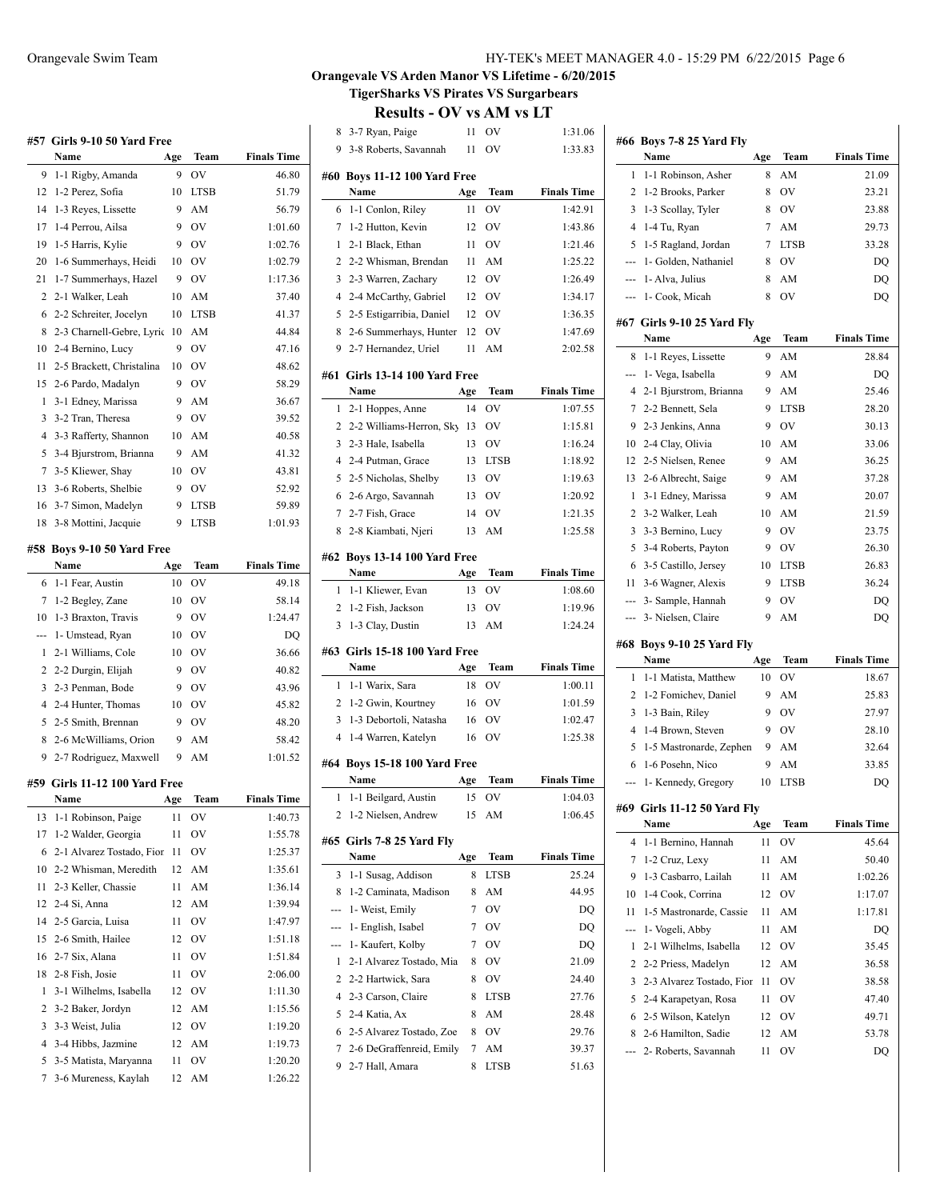### Orangevale Swim Team HY-TEK's MEET MANAGER 4.0 - 15:29 PM 6/22/2015 Page 6

### **Orangevale VS Arden Manor VS Lifetime - 6/20/2015 TigerSharks VS Pirates VS Surgarbears**

|     | #57 Girls 9-10 50 Yard Free    |     |             |                    |  |  |
|-----|--------------------------------|-----|-------------|--------------------|--|--|
|     | Name                           | Age | Team        | <b>Finals Time</b> |  |  |
| 9   | 1-1 Rigby, Amanda              | 9   | OV          | 46.80              |  |  |
| 12  | 1-2 Perez, Sofia               | 10  | <b>LTSB</b> | 51.79              |  |  |
| 14  | 1-3 Reyes, Lissette            | 9   | AM          | 56.79              |  |  |
| 17  | 1-4 Perrou, Ailsa              | 9   | <b>OV</b>   | 1:01.60            |  |  |
| 19  | 1-5 Harris, Kylie              | 9   | <b>OV</b>   | 1:02.76            |  |  |
| 20  | 1-6 Summerhays, Heidi          | 10  | <b>OV</b>   | 1:02.79            |  |  |
| 21  | 1-7 Summerhays, Hazel          | 9   | <b>OV</b>   | 1:17.36            |  |  |
| 2   | 2-1 Walker, Leah               | 10  | AM          | 37.40              |  |  |
| 6   | 2-2 Schreiter, Jocelyn         | 10  | <b>LTSB</b> | 41.37              |  |  |
| 8   | 2-3 Charnell-Gebre, Lyric      | 10  | AM          | 44.84              |  |  |
| 10  | 2-4 Bernino, Lucy              | 9   | OV          | 47.16              |  |  |
| 11  | 2-5 Brackett, Christalina      | 10  | OV          | 48.62              |  |  |
| 15  | 2-6 Pardo, Madalyn             | 9   | OV          | 58.29              |  |  |
| 1   | 3-1 Edney, Marissa             | 9   | AM          | 36.67              |  |  |
| 3   | 3-2 Tran, Theresa              | 9   | OV          | 39.52              |  |  |
| 4   | 3-3 Rafferty, Shannon          | 10  | AM          | 40.58              |  |  |
| 5   | 3-4 Bjurstrom, Brianna         | 9   | AM          | 41.32              |  |  |
| 7   | 3-5 Kliewer, Shay              | 10  | <b>OV</b>   | 43.81              |  |  |
| 13  | 3-6 Roberts, Shelbie           | 9   | OV          | 52.92              |  |  |
| 16  | 3-7 Simon, Madelyn             | 9   | <b>LTSB</b> | 59.89              |  |  |
| 18  | 3-8 Mottini, Jacquie           | 9   | LTSB        | 1:01.93            |  |  |
|     |                                |     |             |                    |  |  |
| #58 | Boys 9-10 50 Yard Free         |     |             |                    |  |  |
|     | Name                           | Age | Team        | <b>Finals Time</b> |  |  |
| 6   | 1-1 Fear, Austin               | 10  | OV          | 49.18              |  |  |
| 7   | 1-2 Begley, Zane               | 10  | OV          | 58.14              |  |  |
| 10  | 1-3 Braxton, Travis            | 9   | <b>OV</b>   | 1:24.47            |  |  |
| --- | 1- Umstead, Ryan               | 10  | <b>OV</b>   | DQ                 |  |  |
| 1   | 2-1 Williams, Cole             | 10  | OV          | 36.66              |  |  |
| 2   | 2-2 Durgin, Elijah             | 9   | OV          | 40.82              |  |  |
| 3   | 2-3 Penman, Bode               | 9   | <b>OV</b>   | 43.96              |  |  |
| 4   | 2-4 Hunter, Thomas             | 10  | OV          | 45.82              |  |  |
| 5   | 2-5 Smith, Brennan             | 9   | <b>OV</b>   | 48.20              |  |  |
| 8   | 2-6 McWilliams, Orion          | 9   | AM          | 58.42              |  |  |
| 9   | 2-7 Rodriguez, Maxwell         | 9   | AM          | 1:01.52            |  |  |
|     | #59  Girls 11-12 100 Yard Free |     |             |                    |  |  |
|     | Name                           | Age | Team        | Finals Time        |  |  |
| 13  | 1-1 Robinson, Paige            | 11  | OV          | 1:40.73            |  |  |
| 17  | 1-2 Walder, Georgia            | 11  | OV          | 1:55.78            |  |  |
| 6   | 2-1 Alvarez Tostado, Fior      | 11  | OV          | 1:25.37            |  |  |
| 10  | 2-2 Whisman, Meredith          | 12  | AM          | 1:35.61            |  |  |
| 11  | 2-3 Keller, Chassie            | 11  | AM          | 1:36.14            |  |  |
| 12  | 2-4 Si, Anna                   | 12  | AM          | 1:39.94            |  |  |
| 14  | 2-5 Garcia, Luisa              | 11  | OV          | 1:47.97            |  |  |
| 15  | 2-6 Smith, Hailee              | 12  | OV          | 1:51.18            |  |  |
| 16  | 2-7 Six, Alana                 |     | ov          | 1:51.84            |  |  |
|     |                                | 11  | OV          |                    |  |  |
| 18  | 2-8 Fish, Josie                | 11  |             | 2:06.00            |  |  |
| 1   | 3-1 Wilhelms, Isabella         | 12  | OV          | 1:11.30            |  |  |
| 2   | 3-2 Baker, Jordyn              | 12  | AM          | 1:15.56            |  |  |
| 3   | 3-3 Weist, Julia               | 12  | OV          | 1:19.20            |  |  |
| 4   | 3-4 Hibbs, Jazmine             | 12  | AM          | 1:19.73            |  |  |
| 5   | 3-5 Matista, Maryanna          | 11  | OV          | 1:20.20            |  |  |
|     |                                |     |             |                    |  |  |
| 7   | 3-6 Mureness, Kaylah           | 12  | AM          | 1:26.22            |  |  |

|                | יכוש<br>11 U V                              | - V J J  |                     | UVI VƏ IJI         |  |
|----------------|---------------------------------------------|----------|---------------------|--------------------|--|
| 8              | 3-7 Ryan, Paige                             |          | 11 OV               | 1:31.06            |  |
| 9              | 3-8 Roberts, Savannah                       | -11      | OV                  | 1:33.83            |  |
|                | #60 Boys 11-12 100 Yard Free                |          |                     |                    |  |
|                | Name                                        | Age      | Team                | <b>Finals Time</b> |  |
| 6              | 1-1 Conlon, Riley                           | 11       | OV                  | 1:42.91            |  |
| 7              | 1-2 Hutton, Kevin                           | 12       | <b>OV</b>           | 1:43.86            |  |
| 1              | 2-1 Black, Ethan                            | 11       | <b>OV</b>           | 1:21.46            |  |
| 2              | 2-2 Whisman, Brendan                        | -11      | AM                  | 1:25.22            |  |
| 3              | 2-3 Warren, Zachary                         | 12       | <b>OV</b>           | 1:26.49            |  |
|                | 4 2-4 McCarthy, Gabriel                     |          | 12 OV               | 1:34.17            |  |
| 5              | 2-5 Estigarribia, Daniel                    |          | 12 OV               | 1:36.35            |  |
| 8              | 2-6 Summerhays, Hunter                      | 12       | OV                  | 1:47.69            |  |
|                | 9 2-7 Hernandez, Uriel                      | 11       | AM                  | 2:02.58            |  |
|                |                                             |          |                     |                    |  |
|                | #61 Girls 13-14 100 Yard Free               |          |                     |                    |  |
|                | Name                                        | Age      | Team                | <b>Finals Time</b> |  |
| 1              | 2-1 Hoppes, Anne                            | 14       | <b>OV</b>           | 1:07.55            |  |
|                | 2 2-2 Williams-Herron, Sky 13               |          | <b>OV</b>           | 1:15.81            |  |
| 3              | 2-3 Hale, Isabella                          | 13       | <b>OV</b>           | 1:16.24            |  |
|                | 4 2-4 Putman, Grace                         | 13       | <b>LTSB</b>         | 1:18.92            |  |
| 5              | 2-5 Nicholas, Shelby                        | 13       | <b>OV</b>           | 1:19.63            |  |
| 6              | 2-6 Argo, Savannah                          | 13       | <sub>OV</sub><br>OV | 1:20.92<br>1:21.35 |  |
| 7<br>8         | 2-7 Fish, Grace                             | 14       | AM                  | 1:25.58            |  |
|                | 2-8 Kiambati, Njeri                         | 13       |                     |                    |  |
|                | #62 Boys 13-14 100 Yard Free                |          |                     |                    |  |
|                | Name                                        | Age      | Team                | <b>Finals Time</b> |  |
|                | 1 1-1 Kliewer, Evan                         | 13       | <b>OV</b>           | 1:08.60            |  |
| 2              | 1-2 Fish, Jackson                           | 13       | OV                  | 1:19.96            |  |
| 3              | 1-3 Clay, Dustin                            | 13       | AM                  | 1:24.24            |  |
|                | #63   Girls 15-18 100 Yard Free             |          |                     |                    |  |
|                | Name                                        | Age      | Team                | <b>Finals Time</b> |  |
| 1              | 1-1 Warix, Sara                             | 18       | OV                  | 1:00.11            |  |
| 2              | 1-2 Gwin, Kourtney                          | 16       | OV                  | 1:01.59            |  |
| 3              | 1-3 Debortoli, Natasha                      | 16       | OV                  | 1:02.47            |  |
| $\overline{4}$ | 1-4 Warren, Katelyn                         | 16       | OV                  | 1:25.38            |  |
|                |                                             |          |                     |                    |  |
|                | #64 Boys 15-18 100 Yard Free<br>Name        | Age      | Team                | <b>Finals Time</b> |  |
|                |                                             |          |                     |                    |  |
| 2              |                                             |          |                     |                    |  |
|                |                                             |          |                     |                    |  |
|                | 1-1 Beilgard, Austin<br>1-2 Nielsen, Andrew | 15<br>15 | OV<br>AM            | 1:04.03<br>1:06.45 |  |
|                | #65 Girls 7-8 25 Yard Flv                   |          |                     |                    |  |
|                | Name                                        | Age      | Team                | <b>Finals Time</b> |  |
| 3              | 1-1 Susag, Addison                          | 8        | <b>LTSB</b>         | 25.24              |  |
| 8              | 1-2 Caminata, Madison                       | 8        | AM                  | 44.95              |  |
| ---            | 1- Weist, Emily                             | 7        | OV                  | DQ                 |  |
| ---            | 1- English, Isabel                          | 7        | OV                  | DQ                 |  |
| ---            | 1- Kaufert, Kolby                           | 7        | OV                  | DQ                 |  |
| 1              | 2-1 Alvarez Tostado, Mia                    | 8        | OV                  | 21.09              |  |
| 2              | 2-2 Hartwick, Sara                          | 8        | OV                  | 24.40              |  |
| 4              | 2-3 Carson, Claire                          | 8        | LTSB                | 27.76              |  |
| 5              | 2-4 Katia, Ax                               | 8        | AM                  | 28.48              |  |
| 6              | 2-5 Alvarez Tostado, Zoe                    | 8        | OV                  | 29.76              |  |
| 7              | 2-6 DeGraffenreid, Emily                    | 7        | AM                  | 39.37              |  |
| 9              | 2-7 Hall, Amara                             | 8        | LTSB                | 51.63              |  |

|                | #66 Boys 7-8 25 Yard Fly    |     |             |                    |
|----------------|-----------------------------|-----|-------------|--------------------|
|                | Name                        | Age | Team        | <b>Finals Time</b> |
| 1              | 1-1 Robinson, Asher         | 8   | AM          | 21.09              |
| 2              | 1-2 Brooks, Parker          | 8   | OV          | 23.21              |
| 3              | 1-3 Scollay, Tyler          | 8   | OV          | 23.88              |
| $\overline{4}$ | 1-4 Tu, Ryan                | 7   | AM          | 29.73              |
| 5              | 1-5 Ragland, Jordan         | 7   | <b>LTSB</b> | 33.28              |
| ---            | 1- Golden, Nathaniel        | 8   | OV          | DQ                 |
| ---            | 1- Alva, Julius             | 8   | AM          | DQ                 |
| ---            | 1- Cook, Micah              | 8   | OV          | DQ                 |
|                |                             |     |             |                    |
| #67            | Girls 9-10 25 Yard Fly      |     |             |                    |
|                | Name                        | Age | Team        | <b>Finals Time</b> |
| 8              | 1-1 Reyes, Lissette         | 9   | AM          | 28.84              |
| ---            | 1- Vega, Isabella           | 9   | AM          | DQ                 |
| 4              | 2-1 Bjurstrom, Brianna      | 9   | AM          | 25.46              |
| 7              | 2-2 Bennett, Sela           | 9   | <b>LTSB</b> | 28.20              |
| 9              | 2-3 Jenkins, Anna           | 9   | OV          | 30.13              |
| 10             | 2-4 Clay, Olivia            | 10  | AM          | 33.06              |
| 12             | 2-5 Nielsen, Renee          | 9   | AM          | 36.25              |
| 13             | 2-6 Albrecht, Saige         | 9   | AM          | 37.28              |
| 1              | 3-1 Edney, Marissa          | 9   | AM          | 20.07              |
| 2              | 3-2 Walker, Leah            | 10  | AM          | 21.59              |
| 3              | 3-3 Bernino, Lucy           | 9   | OV          | 23.75              |
| 5              | 3-4 Roberts, Payton         | 9   | OV          | 26.30              |
| 6              | 3-5 Castillo, Jersey        | 10  | LTSB        | 26.83              |
| 11             | 3-6 Wagner, Alexis          | 9   | LTSB        | 36.24              |
| ---            | 3- Sample, Hannah           | 9   | OV          | DQ                 |
|                |                             |     |             |                    |
| ---            | 3- Nielsen, Claire          | 9   | AM          | DQ                 |
|                |                             |     |             |                    |
|                | #68 Boys 9-10 25 Yard Fly   |     |             |                    |
|                | Name                        | Age | Team        | <b>Finals Time</b> |
| 1              | 1-1 Matista, Matthew        | 10  | OV          | 18.67              |
| 2              | 1-2 Fomichev, Daniel        | 9   | AM          | 25.83              |
| 3              | 1-3 Bain, Riley             | 9   | OV          | 27.97              |
| $\overline{4}$ | 1-4 Brown, Steven           | 9   | OV          | 28.10              |
| 5              | 1-5 Mastronarde, Zephen     | 9   | AM          | 32.64              |
| 6              | 1-6 Posehn, Nico            | 9   | AM          | 33.85              |
| ---            | 1- Kennedy, Gregory         | 10  | <b>LTSB</b> | DQ                 |
|                | #69 Girls 11-12 50 Yard Fly |     |             |                    |
|                | Name                        | Age | Team        | <b>Finals Time</b> |
| 4              | 1-1 Bernino, Hannah         | 11  | ov          | 45.64              |
| 7              | 1-2 Cruz, Lexy              | 11  | AM          | 50.40              |
| 9              | 1-3 Casbarro, Lailah        | 11  | AM          | 1:02.26            |
| 10             | 1-4 Cook, Corrina           | 12  | OV          | 1:17.07            |
| 11             | 1-5 Mastronarde, Cassie     | 11  | AM          | 1:17.81            |
| ---            | 1- Vogeli, Abby             | 11  | AM          | DQ                 |
| 1              | 2-1 Wilhelms, Isabella      | 12  | OV          | 35.45              |
| 2              | 2-2 Priess, Madelyn         | 12  | AM          | 36.58              |
| 3              | 2-3 Alvarez Tostado, Fior   | 11  | OV          | 38.58              |
| 5              |                             | 11  | OV          |                    |
|                | 2-4 Karapetyan, Rosa        | 12  |             | 47.40              |
| 6<br>8         | 2-5 Wilson, Katelyn         | 12  | OV          | 49.71              |
|                | 2-6 Hamilton, Sadie         |     | AM          | 53.78              |
|                | 2- Roberts, Savannah        | 11  | OV          | DQ                 |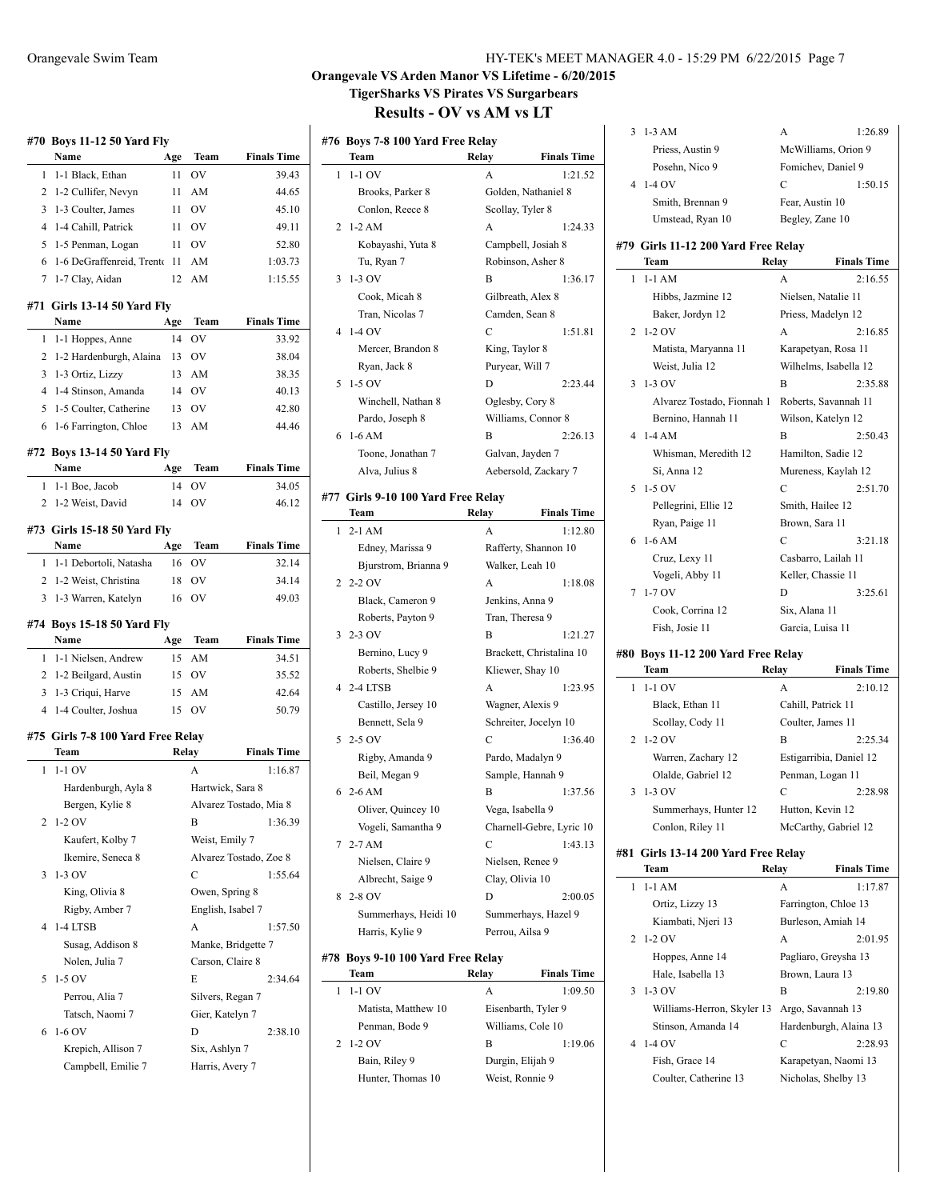| HY-TEK's MEET MANAGER 4.0 - 15:29 PM 6/22/2015 Page 7 |
|-------------------------------------------------------|
|-------------------------------------------------------|

3 1-3 AM A 1:26.89 Priess, Austin 9 McWilliams, Orion 9 Posehn, Nico 9 Fomichev, Daniel 9 4 1-4 OV C 1:50.15

3:21.18

 $2:19.80$ 

### **Orangevale VS Arden Manor VS Lifetime - 6/20/2015 TigerSharks VS Pirates VS Surgarbears Results - OV vs AM vs LT**

### **#76 Boys 7-8 100 Yard Free Relay Team Relay Finals Time** 1 1-1 OV A 1:21.52 Brooks, Parker 8 Golden, Nathaniel 8 Conlon, Reece 8 Scotland 8  $2.1 - 2AM$ Kobayashi, Yuta 8 Tu, Ryan 7 Robinson, Asher 8, Asher 8, Asher 8, Asher 8, Asher 8, Asher 8, Asher 8, Asher 8, Asher 8, Asher 8, Asher 8, Asher 8, Asher 8, Asher 8, Asher 8, Asher 8, Asher 8, Asher 8, Asher 8, Asher 8, Asher 8, Asher 8, Ash 3 1-3 OV B Cook, Micah 8 Tran, Nicolas 7 Camera 6  $4 \; 1-4 \; \text{OV}$ Mercer, Brandon 8 Ryan, Jack 8  $5 - 1 - 5$  OV Winchell, Nathan 8 ( Pardo, Joseph 8  $6$  1-6 AM Toone, Jonathan 7 Galvan, Jaylen 7 Galvan, Jaylen 7 Galvan, Jaylen 7 Galvan, Jaylen 7 Galvan, Jaylen 7 Galvan, Jaylen 7 Galvan, Jaylen 7 Galvan, Jaylen 7 Galvan, Jaylen 7 Galvan, Jaylen 7 Galvan, Jaylen 7 Galvan, Jaylen 7 Alva, Julius 8 #77 Girls 9-10 100 Yard Free Re **Team Relay Finals Time**  $1 \t2-1$  AM Edney, Marissa 9 Rafferty, Shannon 10 Bjurstrom, Brianna 9  $2.20V$ Black, Cameron 9 J Roberts, Payton 9 T 3 2-3 OV B Bernino, Lucy 9 **E** Roberts, Shelbie 9 Kliewer, Shay 10 4 2-4 LTSB Castillo, Jersey 10 Bennett, Sela 9  $5.250V$ Rigby, Amanda 9 Parado, Parado, Parado, Parado, Parado, Parado, Parado, Parado, Parado, Parado, Parado, Parado, Parado, Parado, Parado, Parado, Parado, Parado, Parado, Parado, Parado, Parado, Parado, Parado, Parado, Parado Beil, Megan 9  $62-6 AM$ Oliver, Quincey 10 Vogeli, Samantha 9 ( 7 2-7 AM Nielsen, Claire 9 Nielsen, Renee 9 Albrecht, Saige 9 C 8 2-8 OV D Summerhays, Heidi 10 S Harris, Kylie 9 Perrou, Perrou, A. #78 Boys 9-10 100 Yard Free Re

1 1-1 OV A 1:09.50 Matista, Matthew 10 E

2 1-2 OV

| DIUUNS, LAINUL 0               | GORICH, TYAMAMICI O  |                          | Smith, Brennan 9                           |                    |                         |
|--------------------------------|----------------------|--------------------------|--------------------------------------------|--------------------|-------------------------|
| Conlon, Reece 8                | Scollay, Tyler 8     |                          |                                            | Fear, Austin 10    |                         |
| $1-2 AM$                       | A                    | 1:24.33                  | Umstead, Ryan 10                           | Begley, Zane 10    |                         |
| Kobayashi, Yuta 8              | Campbell, Josiah 8   |                          | #79 Girls 11-12 200 Yard Free Relay        |                    |                         |
| Tu, Ryan 7                     | Robinson, Asher 8    |                          | Team                                       | Relay              | <b>Finals Time</b>      |
| $1-3$ OV                       | B                    | 1:36.17                  | $1$ 1-1 AM                                 | A                  | 2:16.55                 |
| Cook, Micah 8                  | Gilbreath, Alex 8    |                          | Hibbs, Jazmine 12                          |                    | Nielsen, Natalie 11     |
| Tran, Nicolas 7                | Camden, Sean 8       |                          | Baker, Jordyn 12                           |                    | Priess, Madelyn 12      |
| $1-4$ OV                       | C                    | 1:51.81                  | 2 1-2 OV                                   | A                  | 2:16.85                 |
| Mercer, Brandon 8              | King, Taylor 8       |                          | Matista, Maryanna 11                       |                    | Karapetyan, Rosa 11     |
| Ryan, Jack 8                   | Puryear, Will 7      |                          | Weist, Julia 12                            |                    | Wilhelms, Isabella 12   |
| 1-5 OV                         | D                    | 2:23.44                  | $3 - 1 - 3$ OV                             | B                  | 2:35.88                 |
| Winchell, Nathan 8             | Oglesby, Cory 8      |                          | Alvarez Tostado, Fionnah 1                 |                    | Roberts, Savannah 11    |
| Pardo, Joseph 8                | Williams, Connor 8   |                          | Bernino, Hannah 11                         |                    | Wilson, Katelyn 12      |
| $1-6 AM$                       | B                    | 2:26.13                  | $4$ 1-4 AM                                 | B                  | 2:50.43                 |
| Toone, Jonathan 7              | Galvan, Jayden 7     |                          | Whisman, Meredith 12                       |                    | Hamilton, Sadie 12      |
| Alva, Julius 8                 |                      | Aebersold, Zackary 7     | Si, Anna 12                                |                    | Mureness, Kaylah 12     |
|                                |                      |                          | 5 1-5 OV                                   | $\mathbf C$        | 2:51.70                 |
| Girls 9-10 100 Yard Free Relay |                      |                          | Pellegrini, Ellie 12                       | Smith, Hailee 12   |                         |
| Team                           | Relay                | <b>Finals Time</b>       | Ryan, Paige 11                             | Brown, Sara 11     |                         |
| 2-1 AM                         | А                    | 1:12.80                  | $6\;1-6\;AM$                               | C                  | 3:21.18                 |
| Edney, Marissa 9               |                      | Rafferty, Shannon 10     | Cruz, Lexy 11                              |                    | Casbarro, Lailah 11     |
| Bjurstrom, Brianna 9           | Walker, Leah 10      |                          | Vogeli, Abby 11                            | Keller, Chassie 11 |                         |
| 2-2 OV                         | A                    | 1:18.08                  | 7 1-7 OV                                   | D                  | 3:25.61                 |
| Black, Cameron 9               | Jenkins, Anna 9      |                          | Cook, Corrina 12                           | Six, Alana 11      |                         |
| Roberts, Payton 9<br>2-3 OV    | Tran, Theresa 9<br>B | 1:21.27                  | Fish, Josie 11                             | Garcia, Luisa 11   |                         |
| Bernino, Lucy 9                |                      | Brackett, Christalina 10 |                                            |                    |                         |
| Roberts, Shelbie 9             | Kliewer, Shay 10     |                          | #80 Boys 11-12 200 Yard Free Relay<br>Team | Relay              | <b>Finals Time</b>      |
| 2-4 LTSB                       | А                    | 1:23.95                  | $1 - 1 - 1$ OV                             | А                  | 2:10.12                 |
| Castillo, Jersey 10            | Wagner, Alexis 9     |                          | Black, Ethan 11                            | Cahill, Patrick 11 |                         |
| Bennett, Sela 9                |                      | Schreiter, Jocelyn 10    | Scollay, Cody 11                           | Coulter, James 11  |                         |
| 2-5 OV                         | C                    | 1:36.40                  | 2 1-2 OV                                   | B                  | 2:25.34                 |
| Rigby, Amanda 9                | Pardo, Madalyn 9     |                          | Warren, Zachary 12                         |                    | Estigarribia, Daniel 12 |
| Beil, Megan 9                  | Sample, Hannah 9     |                          | Olalde, Gabriel 12                         | Penman, Logan 11   |                         |
| 2-6 AM                         | B                    | 1:37.56                  | $3 - 1 - 3$ OV                             | $\mathcal{C}$      | 2:28.98                 |
| Oliver, Quincey 10             | Vega, Isabella 9     |                          | Summerhays, Hunter 12                      | Hutton, Kevin 12   |                         |
| Vogeli, Samantha 9             |                      | Charnell-Gebre, Lyric 10 | Conlon, Riley 11                           |                    | McCarthy, Gabriel 12    |
| 2-7 AM                         | C                    | 1:43.13                  |                                            |                    |                         |
| Nielsen, Claire 9              | Nielsen, Renee 9     |                          | #81 Girls 13-14 200 Yard Free Relay        |                    |                         |
| Albrecht, Saige 9              | Clay, Olivia 10      |                          | Team                                       | Relay              | <b>Finals Time</b>      |
| 2-8 OV                         | D                    | 2:00.05                  | $1 - 1 - 1$ AM                             | A                  | 1:17.87                 |
| Summerhays, Heidi 10           |                      | Summerhays, Hazel 9      | Ortiz, Lizzy 13                            |                    | Farrington, Chloe 13    |
| Harris, Kylie 9                | Perrou, Ailsa 9      |                          | Kiambati, Njeri 13                         |                    | Burleson, Amiah 14      |
|                                |                      |                          | 2 1-2 OV                                   | A                  | 2:01.95                 |
| Boys 9-10 100 Yard Free Relay  |                      |                          | Hoppes, Anne 14                            |                    | Pagliaro, Greysha 13    |
| Team                           | Relay                | <b>Finals Time</b>       | Hale, Isabella 13                          | Brown, Laura 13    |                         |
| 1-1 OV                         | A                    | 1:09.50                  | 3 1-3 OV                                   | B                  | 2:19.80                 |
| Matista, Matthew 10            | Eisenbarth, Tyler 9  |                          | Williams-Herron, Skyler 13                 |                    | Argo, Savannah 13       |
| Penman, Bode 9                 | Williams, Cole 10    |                          | Stinson, Amanda 14                         |                    | Hardenburgh, Alaina 13  |
| 1-2 OV                         | В                    | 1:19.06                  | 4 1-4 OV                                   | С                  | 2:28.93                 |
| Bain, Riley 9                  | Durgin, Elijah 9     |                          | Fish, Grace 14                             |                    | Karapetyan, Naomi 13    |
| Hunter. Thomas 10              | Weist, Ronnie 9      |                          | Coulter, Catherine 13                      |                    | Nicholas, Shelby 13     |

## **#70 Boys 11-12 50 Yard Fly Name Age Team Finals Time** 1 1-1 Black, Ethan 11 OV 39.43 2 1-2 Cullifer, Nevyn 11 AM 44.65 3 1-3 Coulter, James 11 OV 45.10 4 1-4 Cahill, Patrick 11 OV 49.11 5 1-5 Penman, Logan 11 OV 52.80 6 1-6 DeGraffenreid, Trenton11 AM 1:03.73 7 1-7 Clay, Aidan 12 AM 1:15.55 **#71 Girls 13-14 50 Yard Fly Name Age Team Finals Time** 1 1-1 Hoppes, Anne 14 OV 33.92 2 1-2 Hardenburgh, Alaina 13 OV 38.04 3 1-3 Ortiz, Lizzy 13 AM 38.35 4 1-4 Stinson, Amanda 14 OV 40.13 5 1-5 Coulter, Catherine 13 OV 42.80 6 1-6 Farrington, Chloe 13 AM 44.46 **#72 Boys 13-14 50 Yard Fly Name Age Team Finals Time** 1 1-1 Boe, Jacob 14 OV 34.05 2 1-2 Weist, David 14 OV 46.12 **#73 Girls 15-18 50 Yard Fly Name Age Team Finals Time** 1 1-1 Debortoli, Natasha 16 OV 32.14 2 1-2 Weist, Christina 18 OV 34.14 3 1-3 Warren, Katelyn 16 OV 49.03 **#74 Boys 15-18 50 Yard Fly Name Age Team Finals Time** 1 1-1 Nielsen, Andrew 15 AM 34.51 2 1-2 Beilgard, Austin 15 OV 35.52 3 1-3 Criqui, Harve 15 AM 42.64 4 1-4 Coulter, Joshua 15 OV 50.79 **#75 Girls 7-8 100 Yard Free Relay Team Relay Finals Time** 1 1-1 OV A 1:16.87 Hardenburgh, Ayla 8 Hartwick, Sara 8 Bergen, Kylie 8 Alvarez Tostado, Mia 8 2 1-2 OV B 1:36.39 Kaufert, Kolby 7 Weist, Emily 7 Ikemire, Seneca 8 Alvarez Tostado, Zoe 8 3 1-3 OV C 1:55.64 King, Olivia 8 Owen, Spring 8 Rigby, Amber 7 English, Isabel 7 4 1-4 LTSB A 1:57.50 Susag, Addison 8 Manke, Bridgette 7 Nolen, Julia 7 Carson, Claire 8 5 1-5 OV E 2:34.64 Perrou, Alia 7 Silvers, Regan 7 Tatsch, Naomi 7 Gier, Katelyn 7 6 1-6 OV D 2:38.10 Krepich, Allison 7 Six, Ashlyn 7 Campbell, Emilie 7 Harris, Avery 7